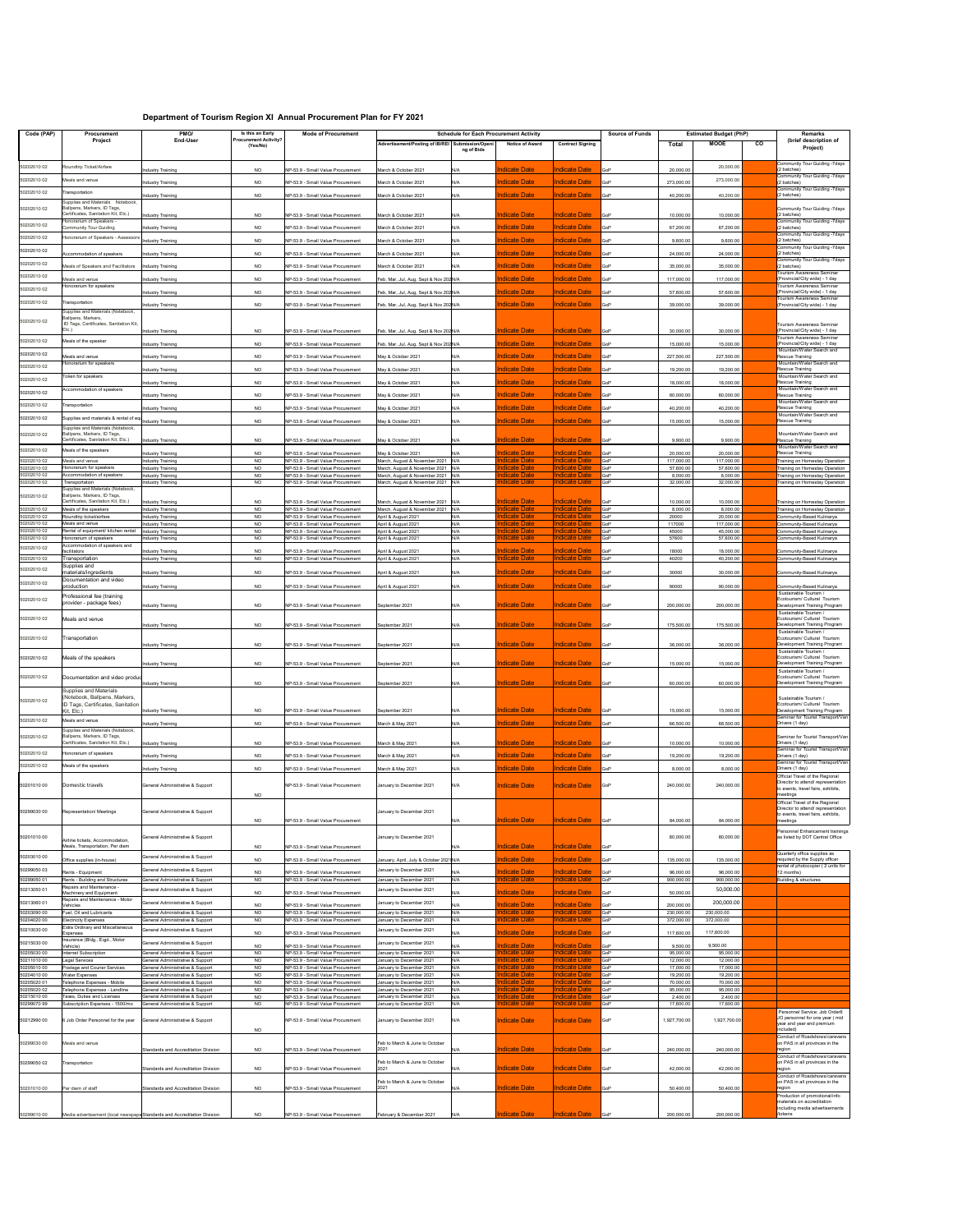## **Department of Tourism Region XI Annual Procurement Plan for FY 2021**

| Code (PAP)                 | Procurement                                                        | PMO/                                                                     | Is this an Early                         | <b>Mode of Procurement</b>                                             |                                                                        | <b>Schedule for Each Procurement Activity</b> |                                              |                                              | <b>Source of Funds</b> |                         | <b>Estimated Budget (PhP)</b> |    | <b>Remarks</b>                                                           |
|----------------------------|--------------------------------------------------------------------|--------------------------------------------------------------------------|------------------------------------------|------------------------------------------------------------------------|------------------------------------------------------------------------|-----------------------------------------------|----------------------------------------------|----------------------------------------------|------------------------|-------------------------|-------------------------------|----|--------------------------------------------------------------------------|
|                            | Project                                                            | <b>End-User</b>                                                          | <b>Procurement Activity?</b><br>(Yes/No) |                                                                        | Advertisement/Posting of IB/REI Submission/Openi                       |                                               | <b>Notice of Award</b>                       | <b>Contract Signing</b>                      |                        | <b>Total</b>            | <b>MOOE</b>                   | CO | (brief description of                                                    |
|                            |                                                                    |                                                                          |                                          |                                                                        |                                                                        | ng of Bids                                    |                                              |                                              |                        |                         |                               |    | Project)                                                                 |
|                            |                                                                    |                                                                          |                                          |                                                                        |                                                                        |                                               |                                              |                                              |                        |                         |                               |    | <b>Community Tour Guiding -7days</b>                                     |
| 50202010 02                | Roundtrip Ticket/Airfare                                           | <b>Industry Training</b>                                                 | NO                                       | NP-53.9 - Small Value Procurement                                      | March & October 2021                                                   | N/A                                           | <b>Indicate Date</b>                         | <b>Indicate Date</b>                         | GoP                    | 20,000.00               | 20,000.00                     |    | (2 batches)                                                              |
| 50202010 02                | Meals and venue                                                    | <b>Industry Training</b>                                                 | <b>NO</b>                                | NP-53.9 - Small Value Procurement                                      | March & October 2021                                                   | N/A                                           | <b>Indicate Date</b>                         | <b>Indicate Date</b>                         | GoP                    | 273,000.00              | 273,000.00                    |    | <b>Community Tour Guiding -7days</b><br>(2 batches)                      |
| 50202010 02                | ransportation                                                      |                                                                          |                                          |                                                                        |                                                                        |                                               |                                              |                                              |                        |                         |                               |    | <b>Community Tour Guiding -7days</b>                                     |
|                            | Supplies and Materials Notebook,                                   | <b>Industry Training</b>                                                 | <b>NO</b>                                | NP-53.9 - Small Value Procurement                                      | March & October 2021                                                   | N/A                                           | <b>Indicate Date</b>                         | <b>Indicate Date</b>                         | GoP                    | 40,200.00               | 40,200.00                     |    | (2 batches)                                                              |
| 50202010 02                | Ballpens, Markers, ID Tags,                                        |                                                                          |                                          |                                                                        |                                                                        |                                               |                                              |                                              |                        |                         |                               |    | Community Tour Guiding -7days                                            |
|                            | Certificates, Sanitation Kit, Etc.<br>Honorarium of Speakers -     | <b>Industry Training</b>                                                 | NO                                       | NP-53.9 - Small Value Procurement                                      | March & October 2021                                                   | N/A                                           | <b>Indicate Date</b>                         | <b>Indicate Date</b>                         | <b>GoP</b>             | 10,000.00               | 10,000.00                     |    | (2 batches)<br><b>Community Tour Guiding -7days</b>                      |
| 50202010 02                | <b>Community Tour Guiding</b>                                      | <b>Industry Training</b>                                                 | <b>NO</b>                                | NP-53.9 - Small Value Procurement                                      | March & October 2021                                                   | N/A                                           | <b>Indicate Date</b>                         | <b>Indicate Date</b>                         | GoP                    | 67,200.00               | 67,200.00                     |    | 2 batches)                                                               |
| 50202010 02                | Honorarium of Speakers - Assessors                                 | <b>Industry Training</b>                                                 | NO                                       | NP-53.9 - Small Value Procurement                                      | March & October 2021                                                   | N/A                                           | <b>Indicate Date</b>                         | <b>Indicate Date</b>                         | GoP                    | 9,600.00                | 9,600.00                      |    | <b>Community Tour Guiding -7days</b><br>(2 batches)                      |
|                            |                                                                    |                                                                          |                                          |                                                                        |                                                                        |                                               |                                              |                                              |                        |                         |                               |    | Community Tour Guiding -7days                                            |
| 50202010 02                | Accommodation of speakers                                          | <b>Industry Training</b>                                                 | NO                                       | NP-53.9 - Small Value Procurement                                      | March & October 2021                                                   | N/A                                           | <b>Indicate Date</b>                         | <b>Indicate Date</b>                         | GoP                    | 24,000.00               | 24,000.00                     |    | 2 batches)                                                               |
| 50202010 02                | Meals of Speakers and Facilitators                                 | <b>Industry Training</b>                                                 | <b>NO</b>                                | NP-53.9 - Small Value Procurement                                      | March & October 2021                                                   | N/A                                           | <b>Indicate Date</b>                         | <b>Indicate Date</b>                         | GoP                    | 35,000.00               | 35,000.00                     |    | <b>Community Tour Guiding -7days</b><br>(2 batches)                      |
| 50202010 02                |                                                                    |                                                                          |                                          |                                                                        |                                                                        |                                               |                                              | <b>Indicate Date</b>                         |                        |                         |                               |    | <b>Tourism Awareness Seminar</b>                                         |
|                            | Meals and venue<br>Honorarium for speakers                         | <b>Industry Training</b>                                                 | <b>NO</b>                                | NP-53.9 - Small Value Procurement                                      | Feb, Mar, Jul, Aug, Sept & Nov 202 N/A                                 |                                               | <b>Indicate Date</b>                         |                                              | GoP                    | 117,000.00              | 117,000.00                    |    | (Provincial/City wide) - 1 day<br>Tourism Awareness Seminar              |
| 50202010 02                |                                                                    | <b>Industry Training</b>                                                 | <b>NO</b>                                | NP-53.9 - Small Value Procurement                                      | Feb, Mar, Jul, Aug, Sept & Nov 202 N/A                                 |                                               | <b>Indicate Date</b>                         | <b>Indicate Date</b>                         | <b>GoP</b>             | 57,600.00               | 57,600.00                     |    | (Provincial/City wide) - 1 day                                           |
| 50202010 02                | Transportation                                                     | <b>Industry Training</b>                                                 | <b>NO</b>                                | NP-53.9 - Small Value Procurement                                      | Feb, Mar, Jul, Aug, Sept & Nov 202 N/A                                 |                                               | <b>Indicate Date</b>                         | <b>Indicate Date</b>                         | GoP                    | 39,000.00               | 39,000.00                     |    | Tourism Awareness Seminar<br>(Provincial/City wide) - 1 day              |
|                            | Supplies and Materials (Notebook,                                  |                                                                          |                                          |                                                                        |                                                                        |                                               |                                              |                                              |                        |                         |                               |    |                                                                          |
| 50202010 02                | Ballpens, Markers,<br>ID Tags, Certificates, Sanitation Kit,       |                                                                          |                                          |                                                                        |                                                                        |                                               |                                              |                                              |                        |                         |                               |    | Tourism Awareness Seminar                                                |
|                            | Etc.                                                               | <b>Industry Training</b>                                                 | NO                                       | NP-53.9 - Small Value Procurement                                      | Feb, Mar, Jul, Aug, Sept & Nov 202 N/A                                 |                                               | <b>Indicate Date</b>                         | Indicate Date                                | <b>GoP</b>             | 30,000.00               | 30,000.00                     |    | (Provincial/City wide) - 1 day                                           |
| 50202010 02                | Meals of the speaker                                               | <b>Industry Training</b>                                                 | <b>NO</b>                                | NP-53.9 - Small Value Procurement                                      | Feb, Mar, Jul, Aug, Sept & Nov 202 N/A                                 |                                               | <b>Indicate Date</b>                         | <b>Indicate Date</b>                         | GoP                    | 15,000.00               | 15,000.00                     |    | Tourism Awareness Seminar<br>(Provincial/City wide) - 1 day              |
| 50202010 02                |                                                                    |                                                                          |                                          |                                                                        |                                                                        |                                               |                                              |                                              |                        |                         |                               |    | Mountain/Water Search and                                                |
|                            | Meals and venue<br>Honorarium for speakers                         | <b>Industry Training</b>                                                 | <b>NO</b>                                | NP-53.9 - Small Value Procurement                                      | May & October 2021                                                     | N/A                                           | <b>Indicate Date</b>                         | <b>Indicate Date</b>                         | GoP                    | 227,500.00              | 227,500.00                    |    | Rescue Training<br>Mountain/Water Search and                             |
| 50202010 02                |                                                                    | <b>Industry Training</b>                                                 | <b>NO</b>                                | NP-53.9 - Small Value Procurement                                      | May & October 2021                                                     | N/A                                           | <b>Indicate Date</b>                         | <b>Indicate Date</b>                         | <b>GoP</b>             | 19,200.00               | 19,200.00                     |    | Rescue Training                                                          |
| 50202010 02                | Token for speakers                                                 | <b>Industry Training</b>                                                 | <b>NO</b>                                | NP-53.9 - Small Value Procurement                                      | May & October 2021                                                     | N/A                                           | <b>Indicate Date</b>                         | <b>Indicate Date</b>                         | GoP                    | 18,000.00               | 18,000.00                     |    | Mountain/Water Search and<br>Rescue Training                             |
| 50202010 02                | Accommodation of speakers                                          |                                                                          |                                          |                                                                        |                                                                        |                                               |                                              |                                              |                        |                         |                               |    | Mountain/Water Search and                                                |
|                            |                                                                    | <b>Industry Training</b>                                                 | NO.                                      | NP-53.9 - Small Value Procurement                                      | May & October 2021                                                     | N/A                                           | <u>ndicate Date</u>                          | ndicate Date                                 | <b>GoP</b>             | 60,000.00               | 60,000.00                     |    | Rescue Training<br>Mountain/Water Search and                             |
| 50202010 02                | Transportation                                                     | <b>Industry Training</b>                                                 | <b>NO</b>                                | NP-53.9 - Small Value Procurement                                      | May & October 2021                                                     | N/A                                           | <b>Indicate Date</b>                         | <b>Indicate Date</b>                         | GoP                    | 40,200.00               | 40,200.00                     |    | Rescue Training                                                          |
| 50202010 02                | Supplies and materials & rental of equ.                            |                                                                          |                                          |                                                                        |                                                                        |                                               | <b>Indicate Date</b>                         | <b>Indicate Date</b>                         |                        |                         |                               |    | Mountain/Water Search and<br>Rescue Training                             |
|                            | Supplies and Materials (Notebook,                                  | <b>Industry Training</b>                                                 | <b>NO</b>                                | NP-53.9 - Small Value Procurement                                      | May & October 2021                                                     | N/A                                           |                                              |                                              | GoP                    | 15,000.00               | 15,000.00                     |    |                                                                          |
| 50202010 02                | Ballpens, Markers, ID Tags,<br>Certificates, Sanitation Kit, Etc.  |                                                                          |                                          |                                                                        |                                                                        |                                               |                                              |                                              |                        |                         |                               |    | Mountain/Water Search and<br>Rescue Training                             |
|                            |                                                                    | <b>Industry Training</b>                                                 | <b>NO</b>                                | NP-53.9 - Small Value Procurement                                      | May & October 2021                                                     | N/A                                           | <u>Indicate Date</u>                         | Indicate Date                                | <b>GoP</b>             | 9,900.00                | 9,900.00                      |    | Mountain/Water Search and                                                |
| 50202010 02                | Meals of the speakers                                              | <b>Industry Training</b>                                                 | NO                                       | NP-53.9 - Small Value Procurement                                      | May & October 2021                                                     | N/A                                           | <b>Indicate Date</b>                         | <b>Indicate Date</b>                         | GoP                    | 20,000.00               | 20,000.00                     |    | Rescue Training                                                          |
| 50202010 02<br>50202010 02 | Meals and venue<br>Honorarium for speakers                         | <b>Industry Training</b><br><b>Industry Training</b>                     | <b>NO</b><br><b>NO</b>                   | NP-53.9 - Small Value Procurement<br>NP-53.9 - Small Value Procurement | March, August & November 2021 N/A<br>March, August & November 2021 N/A |                                               | ndicate Date<br>ndicate Date                 | <b>Indicate Date</b><br><b>Indicate Date</b> | GoP<br>GoP             | 117,000.00<br>57,600.00 | 117,000.00<br>57,600.00       |    | Training on Homestay Operation<br>Training on Homestay Operation         |
| 50202010 02                | Accommodation of speakers                                          | <b>Industry Training</b>                                                 | <b>NO</b>                                | NP-53.9 - Small Value Procurement                                      | March, August & November 2021 N/A                                      |                                               | ndicate Date                                 | <b>Indicate Date</b>                         | GoP                    | 8,000.00                | 8,000.00                      |    | Training on Homestay Operation                                           |
| 50202010 02                | Transportation                                                     | <b>Industry Training</b>                                                 | <b>NO</b>                                | NP-53.9 - Small Value Procurement                                      | March, August & November 2021 N/A                                      |                                               | <b>ndicate Date</b>                          | <b>Indicate Date</b>                         | GoP                    | 32,000.00               | 32,000.00                     |    | Training on Homestay Operation                                           |
| 50202010 02                | Supplies and Materials (Notebook,<br>Ballpens, Markers, ID Tags,   |                                                                          |                                          |                                                                        |                                                                        |                                               |                                              |                                              |                        |                         |                               |    |                                                                          |
|                            | Certificates, Sanitation Kit, Etc.                                 | <b>Industry Training</b>                                                 | <b>NO</b>                                | NP-53.9 - Small Value Procurement                                      | March, August & November 2021 N/A                                      |                                               | <b>Indicate Date</b>                         | <b>Indicate Date</b>                         | GoP                    | 10,000.00               | 10,000.00                     |    | Training on Homestay Operation                                           |
| 50202010 02                | Meals of the speakers                                              | <b>Industry Training</b>                                                 | NO.                                      | NP-53.9 - Small Value Procurement                                      | March, August & November 2021                                          | N/A                                           | <b>ndicate Date</b>                          | <b>Indicate Date</b>                         | GoP                    | 8,000.00                | 8,000.00                      |    | Training on Homestay Operation                                           |
| 50202010 02<br>50202010 02 | Roundtrip ticket/airfare<br>Meals and venue                        | <b>Industry Training</b><br><b>Industry Training</b>                     | <b>NO</b><br><b>NO</b>                   | NP-53.9 - Small Value Procurement<br>NP-53.9 - Small Value Procurement | April & August 2021<br>April & August 2021                             | N/A<br>N/A                                    | ndicate Date<br>ndicate Date                 | <b>Indicate Date</b><br><b>Indicate Date</b> | GoP<br>GoP             | 20000<br>117000         | 20,000.00<br>117,000.00       |    | Community-Based Kulinarya<br>Community-Based Kulinarya                   |
| 50202010 02                | Rental of equipment/ kitchen rental                                | <b>Industry Training</b>                                                 | <b>NO</b>                                | NP-53.9 - Small Value Procurement                                      | April & August 2021                                                    | N/A                                           | ndicate Date                                 | <b>Indicate Date</b>                         | GoP                    | 45000                   | 45,000.00                     |    | Community-Based Kulinarya                                                |
| 50202010 02                | Honorarium of speakers                                             | <b>Industry Training</b>                                                 | <b>NO</b>                                | NP-53.9 - Small Value Procurement                                      | April & August 2021                                                    | N/A                                           | <b>Indicate Date</b>                         | <b>Indicate Date</b>                         | GoP                    | 57600                   | 57,600.00                     |    | Community-Based Kulinarya                                                |
| 50202010 02                | Accommodation of speakers and<br>facilitators                      | <b>Industry Training</b>                                                 | <b>NO</b>                                | NP-53.9 - Small Value Procurement                                      | April & August 2021                                                    | N/A                                           | <b>Indicate Date</b>                         | <b>Indicate Date</b>                         | GoP                    | 18000                   | 18,000.00                     |    | Community-Based Kulinarya                                                |
| 50202010 02                | Transportation                                                     | <b>Industry Training</b>                                                 | <b>NO</b>                                | NP-53.9 - Small Value Procurement                                      | April & August 2021                                                    | N/A                                           | ndicate Date                                 | Indicate Date                                | GoP                    | 40200                   | 40,200.00                     |    | Community-Based Kulinarya                                                |
| 50202010 02                | Supplies and                                                       |                                                                          |                                          |                                                                        |                                                                        |                                               | <b>Indicate Date</b>                         | <b>Indicate Date</b>                         |                        |                         |                               |    |                                                                          |
|                            | materials/ingredients<br>Documentation and video                   | <b>Industry Training</b>                                                 | <b>NO</b>                                | NP-53.9 - Small Value Procurement                                      | April & August 2021                                                    | N/A                                           |                                              |                                              | GoP                    | 30000                   | 30,000.00                     |    | Community-Based Kulinarya                                                |
| 50202010 02                | production                                                         | <b>Industry Training</b>                                                 | NO                                       | NP-53.9 - Small Value Procurement                                      | April & August 2021                                                    | N/A                                           | <b>Indicate Date</b>                         | <b>Indicate Date</b>                         | <b>GoP</b>             | 90000                   | 90,000.00                     |    | Community-Based Kulinarya                                                |
| 50202010 02                | Professional fee (training                                         |                                                                          |                                          |                                                                        |                                                                        |                                               |                                              |                                              |                        |                         |                               |    | Sustainable Tourism /<br>Ecotourism/ Cultural Tourism                    |
|                            | provider - package fees)                                           | <b>Industry Training</b>                                                 | <b>NO</b>                                | NP-53.9 - Small Value Procurement                                      | September 2021                                                         | N/A                                           | <b>Indicate Date</b>                         | <b>Indicate Date</b>                         | <b>GoP</b>             | 200,000.00              | 200,000.00                    |    | Development Training Program                                             |
| 50202010 02                | Meals and venue                                                    |                                                                          |                                          |                                                                        |                                                                        |                                               |                                              |                                              |                        |                         |                               |    | Sustainable Tourism /<br>Ecotourism/ Cultural Tourism                    |
|                            |                                                                    | <b>Industry Training</b>                                                 | <b>NO</b>                                | NP-53.9 - Small Value Procurement                                      | September 2021                                                         | N/A                                           | <b>Indicate Date</b>                         | Indicate Date                                | <b>GoP</b>             | 175,500.00              | 175,500.00                    |    | Development Training Program                                             |
|                            |                                                                    |                                                                          |                                          |                                                                        |                                                                        |                                               |                                              |                                              |                        |                         |                               |    | Sustainable Tourism /<br>Ecotourism/ Cultural Tourism                    |
| 50202010 02                | Transportation                                                     | <b>Industry Training</b>                                                 | NO                                       | NP-53.9 - Small Value Procurement                                      | September 2021                                                         | N/A                                           | <b>Indicate Date</b>                         | <b>Indicate Date</b>                         | GoP                    | 36,000.00               | 36,000.00                     |    | Development Training Program                                             |
|                            |                                                                    |                                                                          |                                          |                                                                        |                                                                        |                                               |                                              |                                              |                        |                         |                               |    | Sustainable Tourism /                                                    |
| 50202010 02                | Meals of the speakers                                              | <b>Industry Training</b>                                                 | <b>NO</b>                                | NP-53.9 - Small Value Procurement                                      | September 2021                                                         | N/A                                           | <b>Indicate Date</b>                         | <b>Indicate Date</b>                         | <b>GoP</b>             | 15,000.00               | 15,000.00                     |    | Ecotourism/ Cultural Tourism<br>Development Training Program             |
|                            |                                                                    |                                                                          |                                          |                                                                        |                                                                        |                                               |                                              |                                              |                        |                         |                               |    | Sustainable Tourism /                                                    |
| 50202010 02                | Documentation and video produc                                     | <b>Industry Training</b>                                                 | NO.                                      | NP-53.9 - Small Value Procurement                                      | September 2021                                                         | N/A                                           | <b>Indicate Date</b>                         | <b>Indicate Date</b>                         | GoP                    | 60,000.00               | 60,000.00                     |    | Ecotourism/ Cultural Tourism<br>Development Training Program             |
|                            | <b>Supplies and Materials</b>                                      |                                                                          |                                          |                                                                        |                                                                        |                                               |                                              |                                              |                        |                         |                               |    |                                                                          |
| 50202010 02                | (Notebook, Ballpens, Markers,                                      |                                                                          |                                          |                                                                        |                                                                        |                                               |                                              |                                              |                        |                         |                               |    | Sustainable Tourism                                                      |
|                            | ID Tags, Certificates, Sanitation<br>Kit, Etc.)                    | <b>Industry Training</b>                                                 | NO                                       | NP-53.9 - Small Value Procurement                                      | September 2021                                                         | N/A                                           | <b>Indicate Date</b>                         | <b>Indicate Date</b>                         | <b>GoP</b>             | 15,000.00               | 15,000.00                     |    | Ecotourism/ Cultural Tourism<br>Development Training Program             |
| 50202010 02                | Meals and venue                                                    |                                                                          |                                          |                                                                        |                                                                        |                                               | <b>Indicate Date</b>                         | <b>Indicate Date</b>                         |                        |                         |                               |    | Seminar for Tourist Transport/Van                                        |
|                            | Supplies and Materials (Notebook,                                  | <b>Industry Training</b>                                                 | <b>NO</b>                                | NP-53.9 - Small Value Procurement                                      | March & May 2021                                                       | N/A                                           |                                              |                                              | GoP                    | 66,500.00               | 66,500.00                     |    | Drivers (1 day)                                                          |
| 50202010 02                | Ballpens, Markers, ID Tags,<br>Certificates, Sanitation Kit, Etc.  |                                                                          |                                          |                                                                        |                                                                        |                                               |                                              |                                              |                        |                         |                               |    | Seminar for Tourist Transport/Van                                        |
|                            |                                                                    | <b>Industry Training</b>                                                 | <b>NO</b>                                | NP-53.9 - Small Value Procurement                                      | March & May 2021                                                       | N/A                                           | <b>Indicate Date</b>                         | <b>Indicate Date</b>                         | <b>GoP</b>             | 10,000.00               | 10,000.00                     |    | Drivers (1 day)<br>Seminar for Tourist Transport/Van                     |
| 50202010 02                | Honorarium of speakers                                             | <b>Industry Training</b>                                                 | NO                                       | NP-53.9 - Small Value Procurement                                      | March & May 2021                                                       | N/A                                           | <b>Indicate Date</b>                         | <b>Indicate Date</b>                         | <b>GoP</b>             | 19,200.00               | 19,200.00                     |    | Drivers (1 day)                                                          |
| 50202010 02                | Meals of the speakers                                              | <b>Industry Training</b>                                                 | <b>NO</b>                                | NP-53.9 - Small Value Procurement                                      | March & May 2021                                                       | N/A                                           | <b>Indicate Date</b>                         | <b>Indicate Date</b>                         | GoP                    | 8,000.00                | 8,000.00                      |    | Seminar for Tourist Transport/Van<br>Drivers (1 day)                     |
|                            |                                                                    |                                                                          |                                          |                                                                        |                                                                        |                                               |                                              |                                              |                        |                         |                               |    | Official Travel of the Regional                                          |
| 50201010 00                | Domestic travels                                                   | General Administrative & Support                                         |                                          | NP-53.9 - Small Value Procurement                                      | January to December 2021                                               | N/A                                           | <b>Indicate Date</b>                         | <b>Indicate Date</b>                         | <b>GoP</b>             | 240,000.00              | 240,000.00                    |    | Director to attend/ representation<br>to events, travel fairs, exhibits, |
|                            |                                                                    |                                                                          | <b>NO</b>                                |                                                                        |                                                                        |                                               |                                              |                                              |                        |                         |                               |    | meetings                                                                 |
|                            |                                                                    |                                                                          |                                          |                                                                        |                                                                        |                                               |                                              |                                              |                        |                         |                               |    | Official Travel of the Regional<br>Director to attend/ representation    |
| 50299030 00                | <b>Representation/ Meetings</b>                                    | General Administrative & Support                                         |                                          |                                                                        | January to December 2021                                               |                                               |                                              |                                              |                        |                         |                               |    | to events, travel fairs, exhibits,                                       |
|                            |                                                                    |                                                                          | <b>NO</b>                                | NP-53.9 - Small Value Procurement                                      |                                                                        | N/A                                           | <b>Indicate Date</b>                         | Indicate Date                                | <b>GoP</b>             | 84,000.00               | 84,000.00                     |    | meetings                                                                 |
| 50201010 00                |                                                                    | General Administrative & Support                                         |                                          |                                                                        | January to December 2021                                               |                                               |                                              |                                              |                        | 80,000.00               | 80,000.00                     |    | Personnel Enhancement trainings<br>as listed by DOT Central Office       |
|                            | Airline tickets, Accommodation,<br>Meals, Transportation, Per diem |                                                                          | NO                                       | NP-53.9 - Small Value Procurement                                      |                                                                        | N/A                                           | <b>Indicate Date</b>                         | <b>Indicate Date</b>                         | <b>GoP</b>             |                         |                               |    |                                                                          |
| 50203010 00                |                                                                    | General Administrative & Support                                         |                                          |                                                                        |                                                                        |                                               |                                              |                                              |                        |                         |                               |    | Quarterly office supplies as                                             |
|                            | Office supplies (in-house)                                         |                                                                          | <b>NO</b>                                | NP-53.9 - Small Value Procurement                                      | January, April, July & October 2021 N/A                                |                                               | <b>Indicate Date</b>                         | <b>Indicate Date</b>                         | GoP                    | 135,000.00              | 135,000.00                    |    | required by the Supply officer<br>rental of photocopier (2 units for     |
| 50299050 03                | Rents - Equipment                                                  | General Administrative & Support                                         | <b>NO</b>                                | NP-53.9 - Small Value Procurement                                      | January to December 2021                                               | N/A                                           | <b>Indicate Date</b>                         | <b>Indicate Date</b>                         | GoP                    | 96,000.00               | 96,000.00                     |    | 12 months)                                                               |
| 50299050 01                | Rents - Building and Structures                                    | General Administrative & Support                                         | <b>NO</b>                                | NP-53.9 - Small Value Procurement                                      | January to December 2021                                               | N/A                                           | <b>Indicate Date</b>                         | <b>Indicate Date</b>                         | GoP                    | 900,000.00              | 900,000.00                    |    | Building & structures                                                    |
| 50213050 01                | Repairs and Maintenance -<br>Machinery and Equipment               | General Administrative & Support                                         | <b>NO</b>                                | NP-53.9 - Small Value Procurement                                      | January to December 2021                                               | N/A                                           | <b>Indicate Date</b>                         | <b>Indicate Date</b>                         | GoP                    | 50,000.00               | 50,000.00                     |    |                                                                          |
| 50213060 01                | Repairs and Maintenance - Motor<br>√ehicles                        | General Administrative & Support                                         |                                          | NP-53.9 - Small Value Procurement                                      | January to December 2021                                               |                                               | <b>Indicate Date</b>                         | <b>Indicate Date</b>                         | GoP                    | 200,000.00              | 200,000.00                    |    |                                                                          |
| 50203090 00                | Fuel, Oil and Lubricants                                           | General Administrative & Support                                         | <b>NO</b><br><b>NO</b>                   | NP-53.9 - Small Value Procurement                                      | January to December 2021                                               | N/A<br>N/A                                    | <mark>ndicate Date</mark>                    | ndicate Date                                 | GoP                    | 230,000.00              | 230,000.00                    |    |                                                                          |
| 50204020 00                | <b>Electricity Expenses</b>                                        | General Administrative & Support                                         | <b>NO</b>                                | NP-53.9 - Small Value Procurement                                      | January to December 2021                                               | N/A                                           | <u>ndicate Date</u>                          | Indicate Date                                | GoP                    | 372,000.00              | 372,000.00                    |    |                                                                          |
| 50210030 00                | <b>Extra Ordinary and Miscellaneous</b>                            | General Administrative & Support                                         |                                          | NP-53.9 - Small Value Procurement                                      | January to December 2021                                               |                                               | <b>Indicate Date</b>                         | <b>Indicate Date</b>                         | <b>GoP</b>             |                         | 117,600.00                    |    |                                                                          |
| 50215030 00                | Expenses<br>nsurance (Bldg., Eqpt., Motor                          | General Administrative & Support                                         | NO.                                      |                                                                        | January to December 2021                                               | N/A                                           |                                              |                                              |                        | 117,600.00              |                               |    |                                                                          |
| 50205030 00                | Vehicle)<br>Internet Subscription                                  | General Administrative & Support                                         | <b>NO</b>                                | NP-53.9 - Small Value Procurement                                      | January to December 2021                                               | N/A                                           | <b>Indicate Date</b><br><b>Indicate Date</b> | <b>Indicate Date</b><br><b>Indicate Date</b> | GoP<br>GoP             | 9,500.00                | 9,500.00                      |    |                                                                          |
| 50211010 00                | <b>Legal Services</b>                                              | General Administrative & Support                                         | <b>NO</b><br><b>NO</b>                   | NP-53.9 - Small Value Procurement<br>NP-53.9 - Small Value Procurement | January to December 2021                                               | N/A<br>N/A                                    | <b>Indicate Date</b>                         | <b>Indicate Date</b>                         | GoP                    | 95,000.00<br>12,000.00  | 95,000.00<br>12,000.00        |    |                                                                          |
| 50205010 00                | Postage and Courier Services                                       | General Administrative & Support                                         | <b>NO</b>                                | NP-53.9 - Small Value Procurement                                      | January to December 2021                                               | N/A                                           | ndicate Date                                 | <b>Indicate Date</b>                         | GoP                    | 17,000.00               | 17,000.00                     |    |                                                                          |
| 50204010 00                | Water Expenses                                                     | General Administrative & Support                                         | <b>NO</b>                                | NP-53.9 - Small Value Procurement                                      | January to December 2021                                               | N/A                                           | ndicate Date                                 | <b>Indicate Date</b>                         | GoP                    | 19,200.00               | 19,200.00                     |    |                                                                          |
| 50205020 01<br>50205020 02 | Telephone Expenses - Mobile<br>Telephone Expenses - Landline       | General Administrative & Support<br>General Administrative & Support     | <b>NO</b><br><b>NO</b>                   | NP-53.9 - Small Value Procurement<br>NP-53.9 - Small Value Procurement | January to December 2021<br>January to December 2021                   | N/A<br>N/A                                    | ndicate Date<br>ndicate Date                 | <b>Indicate Date</b><br><b>Indicate Date</b> | GoP<br>GoP             | 70,000.00<br>95,000.00  | 70,000.00<br>95,000.00        |    |                                                                          |
| 50215010 00                | Taxes, Duties and Licenses                                         | General Administrative & Support                                         | <b>NO</b>                                | NP-53.9 - Small Value Procurement                                      | January to December 2021                                               | N/A                                           | <b>ndicate Date</b>                          | <b>Indicate Date</b>                         | GoP                    | 2,400.00                | 2,400.00                      |    |                                                                          |
| 5029907099                 | Subscription Expenses - 1500/mo                                    | General Administrative & Support                                         | NO                                       | NP-53.9 - Small Value Procurement                                      | January to December 2021                                               | N/A                                           | <b>ndicate Date</b>                          | <b>Indicate Date</b>                         | GoP                    | 17,600.00               | 17,600.00                     |    |                                                                          |
|                            |                                                                    |                                                                          |                                          |                                                                        |                                                                        |                                               |                                              |                                              |                        |                         |                               |    | Personnel Service: Job Order6<br>JO personnel for one year (mid          |
| 50212990 00                | 6 Job Order Personnel for the year                                 | General Administrative & Support                                         |                                          | NP-53.9 - Small Value Procurement                                      | January to December 2021                                               | N/A                                           | <b>Indicate Date</b>                         | <b>Indicate Date</b>                         | <b>GoP</b>             | 1,927,700.00            | 1,927,700.00                  |    | year and year end premium                                                |
|                            |                                                                    |                                                                          | <b>NO</b>                                |                                                                        |                                                                        |                                               |                                              |                                              |                        |                         |                               |    | included)<br>Conduct of Roadshows/caravans                               |
| 50299030 00                | Meals and venue                                                    |                                                                          |                                          |                                                                        | Feb to March & June to October                                         |                                               |                                              |                                              |                        |                         |                               |    | on PAS in all provinces in the                                           |
|                            |                                                                    | <b>Standards and Accreditation Division</b>                              | <b>NO</b>                                | NP-53.9 - Small Value Procurement                                      | 2021                                                                   | N/A                                           | <b>Indicate Date</b>                         | <b>Indicate Date</b>                         | <b>GoP</b>             | 240,000.00              | 240,000.00                    |    | region<br>Conduct of Roadshows/caravans                                  |
| 50299050 02                | Transportation                                                     |                                                                          |                                          |                                                                        | Feb to March & June to October                                         |                                               |                                              |                                              |                        |                         |                               |    | on PAS in all provinces in the                                           |
|                            |                                                                    | <b>Standards and Accreditation Division</b>                              | <b>NO</b>                                | NP-53.9 - Small Value Procurement                                      | 2021                                                                   | N/A                                           | <b>Indicate Date</b>                         | <b>Indicate Date</b>                         | <b>GoP</b>             | 42,000.00               | 42,000.00                     |    | region<br>Conduct of Roadshows/caravans                                  |
|                            |                                                                    |                                                                          |                                          |                                                                        | Feb to March & June to October                                         |                                               |                                              |                                              |                        |                         |                               |    | on PAS in all provinces in the                                           |
| 50201010 00                | Per diem of staff                                                  | Standards and Accreditation Division                                     | NO.                                      | NP-53.9 - Small Value Procurement                                      | 2021                                                                   | N/A                                           | <b>Indicate Date</b>                         | <b>Indicate Date</b>                         | <b>GoP</b>             | 50,400.00               | 50,400.00                     |    | region<br>Production of promotional/info                                 |
|                            |                                                                    |                                                                          |                                          |                                                                        |                                                                        |                                               |                                              |                                              |                        |                         |                               |    | naterials on accreditation                                               |
| 50299010 00                |                                                                    | Media advertisement (local newspape Standards and Accreditation Division | NO                                       | NP-53.9 - Small Value Procurement                                      | February & December 2021                                               | N/A                                           | <b>Indicate Date</b>                         | <b>Indicate Date</b>                         | <b>GoP</b>             | 200,000.00              | 200,000.00                    |    | including media advertisements<br>tokens                                 |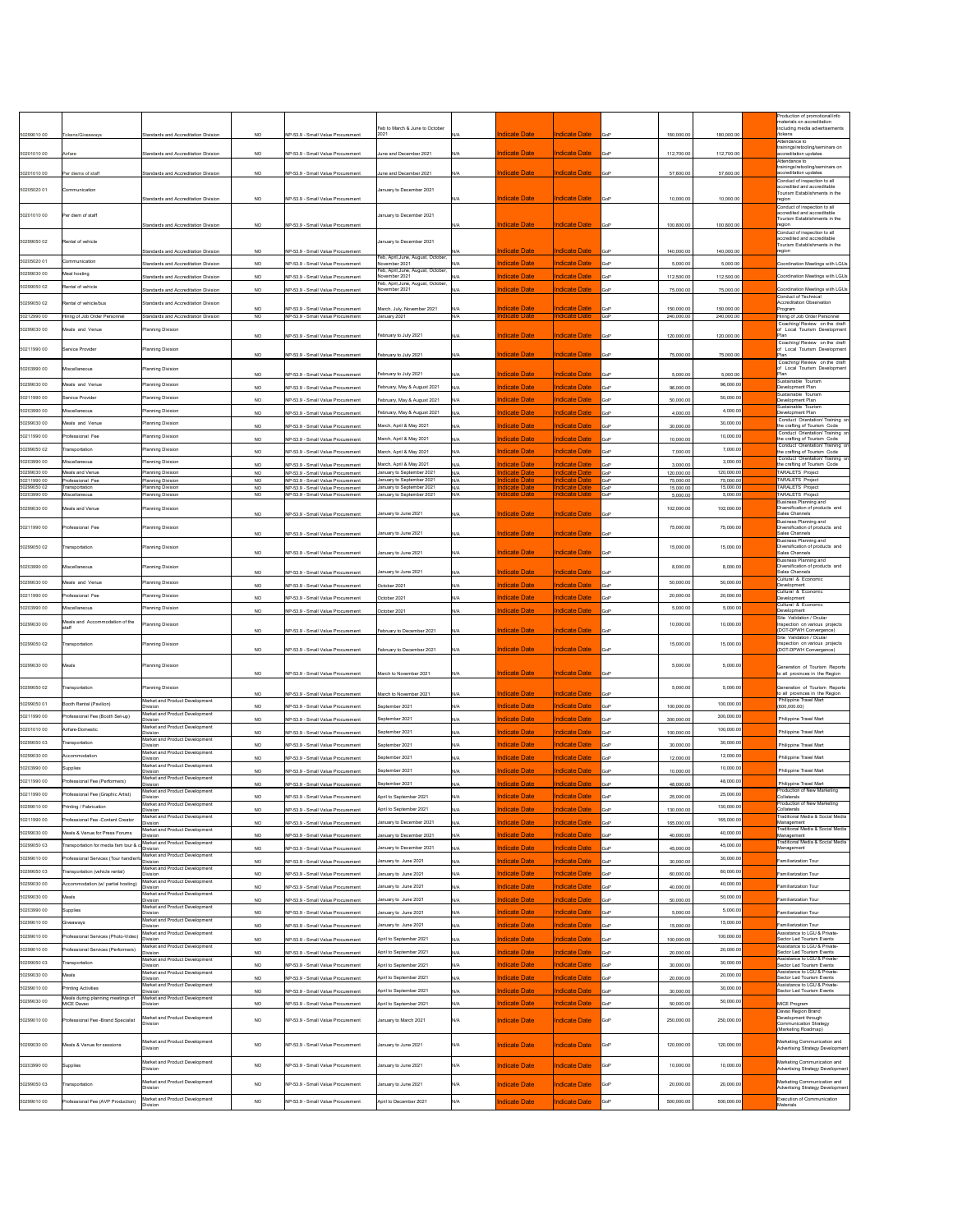|                            |                                                          |                                                      |                        |                                                                        |                                                        |            |                                              |                                              |            |                        |                        | Production of promotional/info                                                       |
|----------------------------|----------------------------------------------------------|------------------------------------------------------|------------------------|------------------------------------------------------------------------|--------------------------------------------------------|------------|----------------------------------------------|----------------------------------------------|------------|------------------------|------------------------|--------------------------------------------------------------------------------------|
|                            |                                                          |                                                      |                        |                                                                        | Feb to March & June to October                         |            |                                              |                                              |            |                        |                        | materials on accreditation<br>including media advertisements                         |
| 50299010 00                | Tokens/Giveaways                                         | <b>Standards and Accreditation Division</b>          | NO.                    | INP-53.9 - Small Value Procurement                                     | 2021                                                   | N/A        | <b>Indicate Date</b>                         | <b>Indicate Date</b>                         | <b>GoP</b> | 180,000.00             | 180,000.00             | /tokens<br>Attendance to                                                             |
| 50201010 00                | Airfare                                                  | <b>Standards and Accreditation Division</b>          | <b>NO</b>              | NP-53.9 - Small Value Procurement                                      | June and December 2021                                 | N/A        | <b>Indicate Date</b>                         | <b>Indicate Date</b>                         | <b>GoP</b> | 112,700.00             | 112,700.00             | trainings/retooling/seminars on<br>accreditation updates                             |
|                            |                                                          |                                                      |                        |                                                                        |                                                        |            |                                              |                                              |            |                        |                        | Attendance to<br>trainings/retooling/seminars on                                     |
| 50201010 00                | Per diems of staff                                       | <b>Standards and Accreditation Division</b>          | <b>NO</b>              | NP-53.9 - Small Value Procurement                                      | June and December 2021                                 | N/A        | <b>Indicate Date</b>                         | <b>Indicate Date</b>                         | <b>GoP</b> | 57,600.00              | 57,600.00              | accreditation updates<br>Conduct of inspection to all                                |
| 50205020 01                | Communication                                            |                                                      |                        |                                                                        | January to December 2021                               |            |                                              |                                              |            |                        |                        | accredited and accreditable<br>Tourism Establishments in the                         |
|                            |                                                          | <b>Standards and Accreditation Division</b>          | <b>NO</b>              | NP-53.9 - Small Value Procurement                                      |                                                        | N/A        | <b>Indicate Date</b>                         | <b>Indicate Date</b>                         | GoP        | 10,000.00              | 10,000.00              | region<br>Conduct of inspection to all                                               |
| 50201010 00                | Per diem of staff                                        |                                                      |                        |                                                                        | January to December 2021                               |            |                                              |                                              |            |                        |                        | accredited and accreditable<br>Tourism Establishments in the                         |
|                            |                                                          | <b>Standards and Accreditation Division</b>          | <b>NO</b>              | INP-53.9 - Small Value Procurement                                     |                                                        | N/A        | <b>Indicate Date</b>                         | <b>Indicate Date</b>                         | <b>GoP</b> | 100,800.00             | 100,800.00             | region<br>Conduct of inspection to all                                               |
| 50299050 02                | Rental of vehicle                                        |                                                      |                        |                                                                        | January to December 2021                               |            |                                              |                                              |            |                        |                        | accredited and accreditable<br>Tourism Establishments in the                         |
|                            |                                                          | <b>Standards and Accreditation Division</b>          | <b>NO</b>              | NP-53.9 - Small Value Procurement                                      | Feb, April, June, August, October,                     | N/A        | <b>Indicate Date</b>                         | <b>Indicate Date</b>                         | <b>GoP</b> | 140,000.00             | 140,000.00             | region                                                                               |
| 50205020 01                | Communication                                            | Standards and Accreditation Division                 | <b>NO</b>              | NP-53.9 - Small Value Procurement                                      | November 2021<br>Feb, April, June, August, October,    | N/A        | <b>Indicate Date</b>                         | <b>Indicate Date</b>                         | <b>GoP</b> | 5,000.00               | 5,000.00               | Coordination Meetings with LGUs                                                      |
| 50299030 00                | Meal hosting                                             | <b>Standards and Accreditation Division</b>          | <b>NO</b>              | NP-53.9 - Small Value Procurement                                      | November 2021<br>Feb, April, June, August, October,    | N/A        | <b>Indicate Date</b>                         | <b>Indicate Date</b>                         | GoP        | 112,500.00             | 112,500.00             | Coordination Meetings with LGUs                                                      |
| 50299050 02                | Rental of vehicle                                        | Standards and Accreditation Division                 | <b>NO</b>              | NP-53.9 - Small Value Procurement                                      | November 2021                                          | N/A        | <b>Indicate Date</b>                         | <b>Indicate Date</b>                         | <b>GoP</b> | 75,000.00              | 75,000.00              | Coordination Meetings with LGUs<br><b>Conduct of Technical</b>                       |
| 50299050 02                | Rental of vehicle/bus                                    | Standards and Accreditation Division                 | <b>NO</b>              | NP-53.9 - Small Value Procurement                                      | March, July, November 2021                             | N/A        | <b>Indicate Date</b>                         | <b>Indicate Date</b>                         | <b>GoP</b> | 150,000.00             | 150,000.00             | <b>Accreditation Observation</b><br>Program                                          |
| 50212990 00                | Hiring of Job Order Personnel                            | <b>Standards and Accreditation Division</b>          | <b>NO</b>              | NP-53.9 - Small Value Procurement                                      | January 2021                                           | N/A        | ndicate Date                                 | <u>Indicate Date</u>                         | GoP        | 240,000.00             | 240,000.00             | Hiring of Job Order Personnel<br>Coaching/ Review on the draft                       |
| 50299030 00                | Meals and Venue                                          | <b>Planning Division</b>                             | <b>NO</b>              | NP-53.9 - Small Value Procurement                                      | February to July 2021                                  |            | <b>Indicate Date</b>                         | <b>Indicate Date</b>                         | <b>GoP</b> | 120,000.00             | 120,000.00             | of Local Tourism Development<br>Plan                                                 |
|                            |                                                          |                                                      |                        |                                                                        |                                                        | N/A        |                                              |                                              |            |                        |                        | Coaching/ Review on the draft                                                        |
| 50211990 00                | Service Provider                                         | <b>Planning Division</b>                             | <b>NO</b>              | NP-53.9 - Small Value Procurement                                      | February to July 2021                                  | N/A        | <b>Indicate Date</b>                         | <b>Indicate Date</b>                         | <b>GoP</b> | 75,000.00              | 75,000.00              | of Local Tourism Development<br>Plan                                                 |
| 50203990 00                | Miscellaneous                                            | <b>Planning Division</b>                             |                        |                                                                        |                                                        |            | ndicate Date                                 | ndicate Date                                 |            |                        |                        | Coaching/ Review on the draft<br>of Local Tourism Development                        |
| 50299030 00                | Meals and Venue                                          | <b>Planning Division</b>                             | <b>NO</b>              | NP-53.9 - Small Value Procurement                                      | February to July 2021                                  | N/A        |                                              |                                              | <b>GoP</b> | 5,000.00               | 5,000.00<br>96,000.00  | Plan<br>Sustainable Tourism<br>Development Plan                                      |
| 50211990 00                | Service Provider                                         | <b>Planning Division</b>                             | <b>NO</b>              | NP-53.9 - Small Value Procurement                                      | February, May & August 2021                            | N/A        | <b>Indicate Date</b>                         | <b>Indicate Date</b><br><b>Indicate Date</b> | GoP        | 96,000.00              | 50,000.00              | Sustainable Tourism<br>Development Plan                                              |
| 50203990 00                | Miscellaneous                                            | <b>Planning Division</b>                             | <b>NO</b>              | NP-53.9 - Small Value Procurement                                      | February, May & August 2021                            | N/A        | <b>Indicate Date</b>                         | <b>Indicate Date</b>                         | GoP        | 50,000.00              | 4,000.00               | Sustainable Tourism                                                                  |
| 50299030 00                | Meals and Venue                                          | <b>Planning Division</b>                             | <b>NO</b>              | NP-53.9 - Small Value Procurement                                      | February, May & August 2021                            | N/A        | <b>Indicate Date</b>                         |                                              | GoP        | 4,000.00               | 30,000.00              | Development Plan<br>Conduct Orientation/ Training on<br>the crafting of Tourism Code |
| 50211990 00                | Professional Fee                                         | <b>Planning Division</b>                             | <b>NO</b>              | NP-53.9 - Small Value Procurement                                      | March, April & May 2021                                | N/A        | <b>Indicate Date</b><br><b>Indicate Date</b> | <b>Indicate Date</b><br><b>Indicate Date</b> | GoP        | 30,000.00              | 10,000.00              | Conduct Orientation/ Training on                                                     |
| 50299050 02                | Transportation                                           | <b>Planning Division</b>                             | <b>NO</b>              | NP-53.9 - Small Value Procurement                                      | March, April & May 2021                                | N/A        |                                              |                                              | <b>GoP</b> | 10,000.00              | 7,000.00               | the crafting of Tourism Code<br>Conduct Orientation/ Training on                     |
| 50203990 00                | Miscellaneous                                            | <b>Planning Division</b>                             | <b>NO</b>              | NP-53.9 - Small Value Procurement                                      | March, April & May 2021                                | N/A        | <b>Indicate Date</b>                         | <b>Indicate Date</b>                         | GoP        | 7,000.00               | 3,000.00               | the crafting of Tourism Code<br>Conduct Orientation/ Training on                     |
| 50299030 00                | Meals and Venue                                          | <b>Planning Division</b>                             | <b>NO</b><br><b>NO</b> | NP-53.9 - Small Value Procurement<br>NP-53.9 - Small Value Procurement | March, April & May 2021<br>January to September 2021   | N/A<br>N/A | <b>Indicate Date</b><br>ndicate Date         | <b>Indicate Date</b><br><b>Indicate Date</b> | GoP<br>GoP | 3,000.00<br>120,000.00 | 120,000.00             | the crafting of Tourism Code<br><b>TARALETS Project</b>                              |
| 50211990 00<br>50299050 02 | Professional Fee<br>Transportation                       | <b>Planning Division</b><br><b>Planning Division</b> | <b>NO</b><br><b>NO</b> | NP-53.9 - Small Value Procurement<br>NP-53.9 - Small Value Procurement | January to September 2021<br>January to September 2021 | N/A<br>N/A | ndicate Date<br>ndicate Date                 | <b>Indicate Date</b><br><u>Indicate Date</u> | GoP<br>GoP | 75,000.00<br>15,000.00 | 75,000.00<br>15,000.00 | <b>TARALETS Project</b><br><b>TARALETS Project</b>                                   |
| 50203990 00                | Miscellaneous                                            | <b>Planning Division</b>                             | <b>NO</b>              | NP-53.9 - Small Value Procurement                                      | January to September 2021                              | N/A        | ndicate Date                                 | <u>Indicate Date</u>                         | GoP        | 5,000.00               | 5,000.00               | TARALETS Project<br><b>Business Planning and</b>                                     |
| 50299030 00                | Meals and Venue                                          | <b>Planning Division</b>                             | <b>NO</b>              | INP-53.9 - Small Value Procurement                                     | January to June 2021                                   | N/A        | <b>Indicate Date</b>                         | <b>Indicate Date</b>                         | <b>GoP</b> | 102,000.00             | 102,000.00             | Diversification of products and<br>Sales Channels                                    |
|                            |                                                          |                                                      |                        |                                                                        |                                                        |            |                                              |                                              |            |                        |                        | <b>Business Planning and</b><br>Diversification of products and                      |
| 50211990 00                | Professional Fee                                         | <b>Planning Division</b>                             | <b>NO</b>              | NP-53.9 - Small Value Procurement                                      | January to June 2021                                   | N/A        | <b>Indicate Date</b>                         | <b>Indicate Date</b>                         | <b>GoP</b> | 75,000.00              | 75,000.00              | Sales Channels                                                                       |
| 50299050 02                | Transportation                                           | <b>Planning Division</b>                             |                        | NP-53.9 - Small Value Procurement                                      | January to June 2021                                   | N/A        | <b>Indicate Date</b>                         | <b>Indicate Date</b>                         | <b>GoP</b> | 15,000.00              | 15,000.00              | <b>Business Planning and</b><br>Diversification of products and<br>Sales Channels    |
|                            |                                                          |                                                      | <b>NO</b>              |                                                                        |                                                        |            |                                              |                                              |            |                        |                        | <b>Business Planning and</b>                                                         |
| 50203990 00                | Miscellaneous                                            | <b>Planning Division</b>                             | <b>NO</b>              | NP-53.9 - Small Value Procurement                                      | January to June 2021                                   | N/A        | <b>Indicate Date</b>                         | <b>Indicate Date</b>                         | <b>GoP</b> | 8,000.00               | 8,000.00               | Diversification of products and<br>Sales Channels                                    |
| 50299030 00                | Meals and Venue                                          | <b>Planning Division</b>                             | <b>NO</b>              | NP-53.9 - Small Value Procurement                                      | October 2021                                           | N/A        | <b>Indicate Date</b>                         | <b>Indicate Date</b>                         | GoP        | 50,000.00              | 50,000.00              | Cultural & Economic<br>Development                                                   |
| 50211990 00                | Professional Fee                                         | <b>Planning Division</b>                             | <b>NO</b>              | NP-53.9 - Small Value Procurement                                      | October 2021                                           | N/A        | <b>Indicate Date</b>                         | <b>Indicate Date</b>                         | <b>GoP</b> | 20,000.00              | 20,000.00              | Cultural & Economic<br>Development                                                   |
| 50203990 00                | Miscellaneous                                            | <b>Planning Division</b>                             | <b>NO</b>              | NP-53.9 - Small Value Procurement                                      | October 2021                                           | N/A        | <b>Indicate Date</b>                         | <b>Indicate Date</b>                         | GoP        | 5,000.00               | 5,000.00               | Cultural & Economic<br>Development                                                   |
| 50299030 00                | Meals and Accommodation of the<br>staff                  | <b>Planning Division</b>                             |                        |                                                                        |                                                        |            |                                              |                                              |            | 10,000.00              | 10,000.00              | Site Validation / Ocular<br>Inspection on various projects                           |
|                            |                                                          |                                                      | <b>NO</b>              | NP-53.9 - Small Value Procurement                                      | February to December 2021                              | N/A        | <b>Indicate Date</b>                         | <b>Indicate Date</b>                         | <b>GoP</b> |                        |                        | (DOT-DPWH Convergence)<br>Site Validation / Ocular                                   |
| 50299050 02                | Transportation                                           | <b>Planning Division</b>                             | <b>NO</b>              | NP-53.9 - Small Value Procurement                                      | February to December 2021                              | N/A        | <b>Indicate Date</b>                         | <u>Indicate Date</u>                         | <b>GoP</b> | 15,000.00              | 15,000.00              | Inspection on various projects<br>(DOT-DPWH Convergence)                             |
| 50299030 00                | Meals                                                    | Planning Division                                    |                        |                                                                        |                                                        |            |                                              |                                              |            | 5,000.00               | 5,000.00               | Generation of Tourism Reports                                                        |
|                            |                                                          |                                                      | <b>NO</b>              | NP-53.9 - Small Value Procurement                                      | March to November 2021                                 | N/A        | <b>Indicate Date</b>                         | <u>Indicate Date</u>                         | <b>GoP</b> |                        |                        | to all provinces in the Region                                                       |
| 50299050 02                | Transportation                                           | <b>Planning Division</b>                             | <b>NO</b>              |                                                                        | March to November 2021                                 | N/A        | <u>Indicate Date</u>                         | <u>Indicate Date</u>                         | <b>GoP</b> | 5,000.00               | 5,000.00               | Generation of Tourism Reports<br>to all provinces in the Region                      |
| 50299050 01                | Booth Rental (Pavilion)                                  | Market and Product Development                       |                        | NP-53.9 - Small Value Procurement                                      | September 2021                                         |            | <b>Indicate Date</b>                         | <b>Indicate Date</b>                         |            |                        | 100,000.00             | Philippine Travel Mart                                                               |
| 50211990 00                | Professional Fee (Booth Set-up)                          | Division<br>Market and Product Development           | <b>NO</b>              | NP-53.9 - Small Value Procurement                                      |                                                        | N/A        |                                              |                                              | GoP        | 100,000.00             | 300,000.00             | (600, 000.00)                                                                        |
| 50201010 00                | Airfare-Domestic                                         | <b>Division</b><br>Market and Product Development    | <b>NO</b>              | NP-53.9 - Small Value Procurement                                      | September 2021                                         | N/A        | <b>Indicate Date</b>                         | <b>Indicate Date</b>                         | <b>GoP</b> | 300,000.00             | 100,000.00             | <b>Philippine Travel Mart</b>                                                        |
| 50299050 03                | Transportation                                           | Division<br>Market and Product Development           | <b>NO</b>              | NP-53.9 - Small Value Procurement                                      | September 2021                                         | N/A        | <b>Indicate Date</b>                         | <b>Indicate Date</b>                         | <b>GoP</b> | 100,000.00             | 30,000.00              | Philippine Travel Mart                                                               |
| 50299030 00                | Accommodation                                            | <b>Division</b><br>Market and Product Development    | <b>NO</b>              | NP-53.9 - Small Value Procurement                                      | September 2021                                         | N/A        | Indicate Date                                | <b>Indicate Date</b>                         | GoP        | 30,000.00              | 12,000.00              | <b>Philippine Travel Mart</b>                                                        |
| 50203990 00                | Supplies                                                 | Division<br>Market and Product Development           | <b>NO</b>              | NP-53.9 - Small Value Procurement                                      | September 2021                                         | N/A        | <b>Indicate Date</b>                         | <b>Indicate Date</b>                         | <b>GoP</b> | 12,000.00              | 10,000.00              | Philippine Travel Mart                                                               |
| 50211990 00                | Professional Fee (Performers)                            | Division<br>Market and Product Development           | <b>NO</b>              | INP-53.9 - Small Value Procurement                                     | September 2021                                         | N/A        | Indicate Date                                | <b>Indicate Date</b>                         | GoP        | 10,000.00              | 48,000.00              | <b>Philippine Travel Mart</b>                                                        |
| 50211990 00                | Professional Fee (Graphic Artist)                        | Division<br>Market and Product Development           | <b>NO</b>              | NP-53.9 - Small Value Procurement                                      | September 2021                                         | N/A        | <b>Indicate Date</b>                         | <b>Indicate Date</b>                         | GoP        | 48,000.00              | 25,000.00              | Philippine Travel Mart<br>Production of New Marketing                                |
| 50299010 00                | Printing / Fabrication                                   | Division<br>Market and Product Development           | <b>NO</b>              | NP-53.9 - Small Value Procurement                                      | April to September 2021                                | N/A        | <b>Indicate Date</b>                         | <b>Indicate Date</b>                         | <b>GoP</b> | 25,000.00              | 130,000.00             | Collaterals<br>Production of New Marketing                                           |
| 50211990 00                | Professional Fee -Content Creator                        | Division<br>Market and Product Development           | <b>NO</b>              | NP-53.9 - Small Value Procurement                                      | April to September 2021                                | N/A        | <b>Indicate Date</b>                         | <b>Indicate Date</b>                         | GoP        | 130,000.00             | 165,000.00             | Collaterals<br>Traditional Media & Social Media                                      |
| 50299030 00                | Meals & Venue for Press Forums                           | <b>Division</b><br>Market and Product Development    | <b>NO</b>              | NP-53.9 - Small Value Procurement                                      | January to December 2021                               | N/A        | <b>Indicate Date</b>                         | <b>Indicate Date</b>                         | <b>GoP</b> | 165,000.00             | 40,000.00              | Management<br>Traditional Media & Social Media                                       |
| 50299050 03                | Transportation for media fam tour &                      | Division<br>Market and Product Development           | <b>NO</b>              | NP-53.9 - Small Value Procurement                                      | January to December 2021                               | N/A        | <b>Indicate Date</b>                         | <b>Indicate Date</b>                         | GoP        | 40,000.00              | 45,000.00              | Management<br>Traditional Media & Social Media                                       |
| 50299010 00                | Professional Services (Tour handler/                     | Division<br>Market and Product Development           | <b>NO</b>              | NP-53.9 - Small Value Procurement                                      | January to December 2021                               | N/A        | <b>Indicate Date</b>                         | <b>Indicate Date</b>                         | GoP        | 45,000.00              | 30,000.00              | Management                                                                           |
| 50299050 03                |                                                          | Division<br>Market and Product Development           | <b>NO</b>              | NP-53.9 - Small Value Procurement                                      | January to June 2021                                   | N/A        | <b>Indicate Date</b>                         | <b>Indicate Date</b>                         | <b>GoP</b> | 30,000.00              | 60,000.00              | Familiarization Tour                                                                 |
|                            | Transportation (vehicle rental)                          | Division<br>Market and Product Development           | <b>NO</b>              | NP-53.9 - Small Value Procurement                                      | January to June 2021                                   | N/A        | <b>Indicate Date</b>                         | <b>Indicate Date</b>                         | GoP        | 60,000.00              |                        | Familiarization Tour                                                                 |
| 50299030 00                | Accommodation (w/ partial hosting)                       | )ivision<br>Market and Product Development           | <b>NO</b>              | NP-53.9 - Small Value Procurement                                      | January to June 2021                                   | N/A        | Indicate Date                                | <b>Indicate Date</b>                         | GoP        | 40,000.00              | 40,000.00              | Familiarization Tour                                                                 |
| 50299030 00<br>50203990 00 | Meals                                                    | Division<br>Market and Product Development           | <b>NO</b>              | NP-53.9 - Small Value Procurement                                      | January to June 2021                                   | N/A        | Indicate Date                                | <b>Indicate Date</b>                         | <b>GoP</b> | 50,000.00              | 50,000.00<br>5,000.00  | Familiarization Tour                                                                 |
|                            | Supplies                                                 | <b>Division</b><br>Market and Product Development    | <b>NO</b>              | NP-53.9 - Small Value Procurement                                      | January to June 2021                                   | N/A        | <b>Indicate Date</b>                         | <b>Indicate Date</b>                         | <b>GoP</b> | 5,000.00               | 15,000.00              | <b>Familiarization Tour</b>                                                          |
| 50299010 00                | Giveaways                                                | <b>Division</b><br>Market and Product Development    | <b>NO</b>              | NP-53.9 - Small Value Procurement                                      | January to June 2021                                   | N/A        | <b>Indicate Date</b>                         | <b>Indicate Date</b>                         | <b>GoP</b> | 15,000.00              |                        | <b>Familiarization Tour</b><br>Assistance to LGU & Private-                          |
| 50299010 00                | Professional Services (Photo-Video)                      | Division<br>Market and Product Development           | <b>NO</b>              | NP-53.9 - Small Value Procurement                                      | April to September 2021                                | N/A        | <b>Indicate Date</b>                         | <b>Indicate Date</b>                         | <b>GoP</b> | 100,000.00             | 100,000.00             | Sector Led Tourism Events<br>Assistance to LGU & Private-                            |
| 50299010 00                | Professional Services (Performers)                       | Division<br>Market and Product Development           | <b>NO</b>              | NP-53.9 - Small Value Procurement                                      | April to September 2021                                | N/A        | <b>Indicate Date</b>                         | <b>Indicate Date</b>                         | GoP        | 20,000.00              | 20,000.00              | Sector Led Tourism Events<br>Assistance to LGU & Private-                            |
| 50299050 03                | Transportation                                           | <b>Division</b><br>Market and Product Development    | <b>NO</b>              | NP-53.9 - Small Value Procurement                                      | April to September 2021                                | N/A        | <b>Indicate Date</b>                         | <b>Indicate Date</b>                         | GoP        | 30,000.00              | 30,000.00              | Sector Led Tourism Events<br>Assistance to LGU & Private-                            |
| 50299030 00                | Meals                                                    | Division<br>Market and Product Development           | <b>NO</b>              | NP-53.9 - Small Value Procurement                                      | April to September 2021                                | N/A        | <b>Indicate Date</b>                         | <b>Indicate Date</b>                         | <b>GoP</b> | 20,000.00              | 20,000.00              | Sector Led Tourism Events<br>Assistance to LGU & Private-                            |
| 50299010 00                | Printing Activities<br>Meals during planning meetings of | <b>Division</b><br>Market and Product Development    | <b>NO</b>              | NP-53.9 - Small Value Procurement                                      | April to September 2021                                | N/A        | <b>Indicate Date</b>                         | <b>Indicate Date</b>                         | GoP        | 30,000.00              | 30,000.00              | Sector Led Tourism Events                                                            |
| 50299030 00                | MICE Davao                                               | <b>Division</b>                                      | <b>NO</b>              | NP-53.9 - Small Value Procurement                                      | April to September 2021                                | N/A        | <b>Indicate Date</b>                         | <b>Indicate Date</b>                         | GoP        | 50,000.00              | 50,000.00              | MICE Program<br>Davao Region Brand                                                   |
| 50299010 00                | Professional Fee -Brand Specialist                       | Market and Product Development<br>Division           | <b>NO</b>              | NP-53.9 - Small Value Procurement                                      | January to March 2021                                  | N/A        | <b>Indicate Date</b>                         | <b>Indicate Date</b>                         | <b>GoP</b> | 250,000.00             | 250,000.00             | Development through<br><b>Communication Strategy</b>                                 |
|                            |                                                          |                                                      |                        |                                                                        |                                                        |            |                                              |                                              |            |                        |                        | (Marketing Roadmap)                                                                  |
| 50299030 00                | Meals & Venue for sessions                               | Market and Product Development<br>Division           | <b>NO</b>              | NP-53.9 - Small Value Procurement                                      | January to June 2021                                   | N/A        | <b>Indicate Date</b>                         | <b>Indicate Date</b>                         | <b>GoP</b> | 120,000.00             | 120,000.00             | Marketing Communication and<br>Advertising Strategy Development                      |
|                            |                                                          | Market and Product Development                       |                        |                                                                        |                                                        |            |                                              |                                              |            |                        |                        | Marketing Communication and                                                          |
| 50203990 00                | Supplies                                                 | Division                                             | $NO$                   | NP-53.9 - Small Value Procurement                                      | January to June 2021                                   | N/A        | <b>Indicate Date</b>                         | <b>Indicate Date</b>                         | <b>GoP</b> | 10,000.00              | 10,000.00              | Advertising Strategy Development                                                     |
| 50299050 03                | Transportation                                           | Market and Product Development<br>Division           | $NO$                   | INP-53.9 - Small Value Procurement                                     | January to June 2021                                   | N/A        | <b>Indicate Date</b>                         | <b>Indicate Date</b>                         | <b>GoP</b> | 20,000.00              | 20,000.00              | Marketing Communication and<br>Advertising Strategy Development                      |
|                            |                                                          | Market and Product Development                       |                        |                                                                        |                                                        |            |                                              |                                              |            |                        |                        | Execution of Communication                                                           |
| 50299010 00                | Professional Fee (AVP Production)                        | Division                                             | <b>NO</b>              | NP-53.9 - Small Value Procurement                                      | April to December 2021                                 | N/A        | Indicate Date                                | <b>Indicate Date</b>                         | <b>GoP</b> | 500,000.00             | 500,000.00             | Materials                                                                            |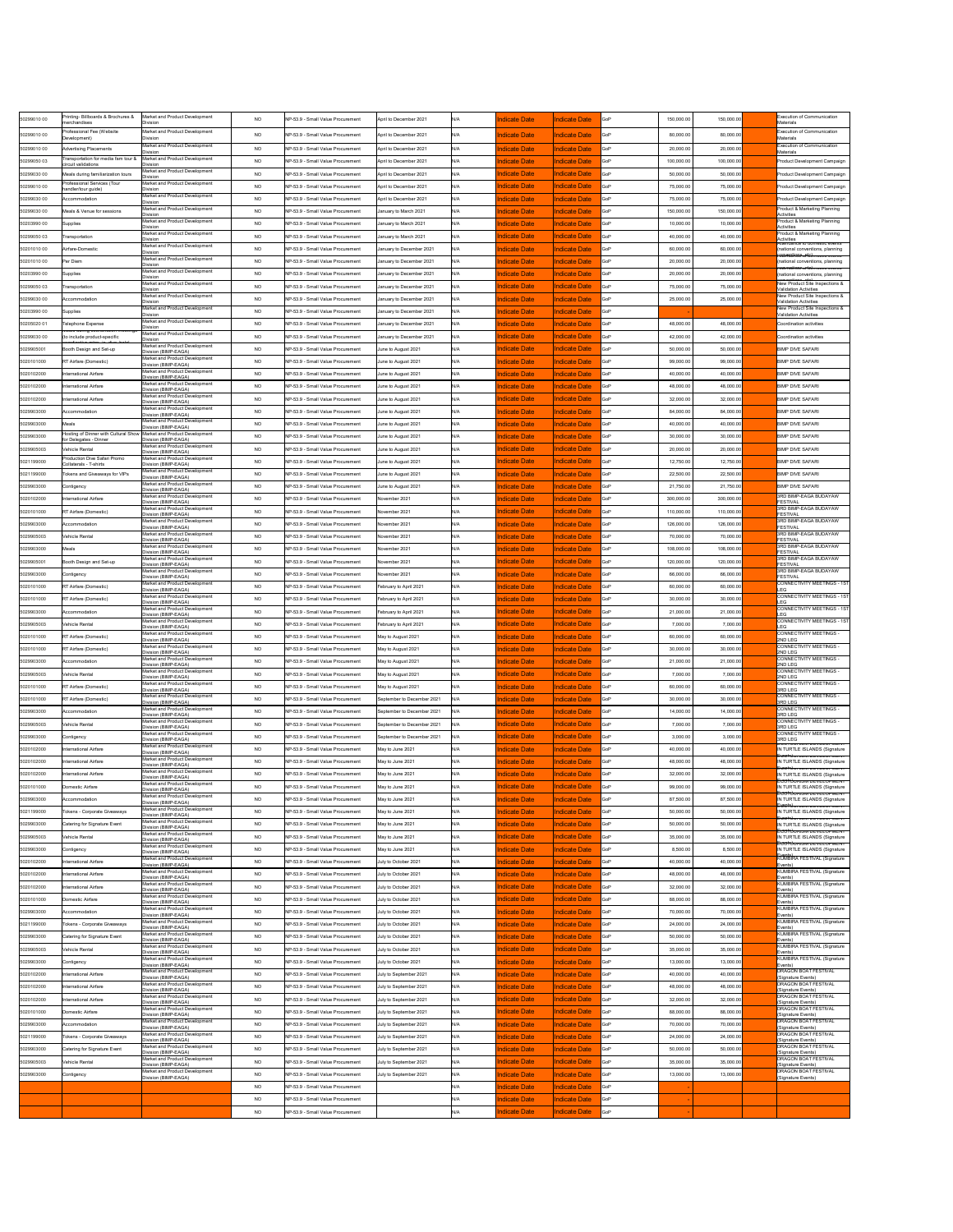| 50299010 00                | Printing- Billboards & Brochures &<br><b>nerchandises</b>            | Market and Product Development<br>Division                                               | <b>NO</b>              | NP-53.9 - Small Value Procurement                                      | April to December 2021                               | N/A        | <b>Indicate Date</b>                         | <b>Indicate Date</b>                         | GoP        | 150,000.00              | 150,000.00              | Execution of Communication<br><b>Materials</b>                                                                |
|----------------------------|----------------------------------------------------------------------|------------------------------------------------------------------------------------------|------------------------|------------------------------------------------------------------------|------------------------------------------------------|------------|----------------------------------------------|----------------------------------------------|------------|-------------------------|-------------------------|---------------------------------------------------------------------------------------------------------------|
| 50299010 00                | Professional Fee (Website<br>Development)                            | Market and Product Development<br><b>Division</b>                                        | <b>NO</b>              | NP-53.9 - Small Value Procurement                                      | April to December 2021                               | N/A        | <b>Indicate Date</b>                         | <b>Indicate Date</b>                         | GoP        | 80,000.00               | 80,000.00               | <b>Execution of Communication</b><br>Materials                                                                |
| 50299010 00                | <b>Advertising Placements</b><br>Transportation for media fam tour & | Market and Product Development<br>Division<br>Market and Product Development             | <b>NO</b>              | NP-53.9 - Small Value Procurement                                      | April to December 2021                               | N/A        | Indicate Date                                | <b>Indicate Date</b>                         | GoP        | 20,000.00               | 20,000.00               | <b>Execution of Communication</b><br>Materials                                                                |
| 50299050 03<br>50299030 00 | ircuit validations:<br>Meals during familiarization tours            | <b>Division</b><br>Market and Product Development                                        | <b>NO</b><br><b>NO</b> | NP-53.9 - Small Value Procurement<br>NP-53.9 - Small Value Procurement | April to December 2021<br>April to December 2021     | N/A<br>N/A | <u>Indicate Date</u><br>Indicate Date        | <b>Indicate Date</b><br><b>Indicate Date</b> | GoP<br>GoP | 100,000.00<br>50,000.00 | 100,000.00<br>50,000.00 | Product Development Campaign<br>Product Development Campaign                                                  |
| 50299010 00                | Professional Services (Tour<br>nandler/tour guide)                   | <b>Division</b><br>Market and Product Development<br>Division                            | <b>NO</b>              | NP-53.9 - Small Value Procurement                                      | April to December 2021                               | N/A        | <b>Indicate Date</b>                         | <b>Indicate Date</b>                         | GoP        | 75,000.00               | 75,000.00               | Product Development Campaign                                                                                  |
| 50299030 00                | Accommodation                                                        | Market and Product Development<br><b>Division</b>                                        | <b>NO</b>              | NP-53.9 - Small Value Procurement                                      | April to December 2021                               | N/A        | Indicate Date                                | <b>Indicate Date</b>                         | GoP        | 75,000.00               | 75,000.00               | Product Development Campaign                                                                                  |
| 50299030 00<br>50203990 00 | Meals & Venue for sessions<br>Supplies                               | Market and Product Development<br>Division<br>Market and Product Development             | <b>NO</b><br><b>NO</b> | NP-53.9 - Small Value Procurement<br>NP-53.9 - Small Value Procurement | January to March 2021<br>January to March 2021       | N/A<br>N/A | Indicate Date<br>Indicate Date               | <b>Indicate Date</b><br><b>Indicate Date</b> | GoP<br>GoP | 150,000.00<br>10,000.00 | 150,000.00<br>10,000.00 | Product & Marketing Planning<br>Activities<br>Product & Marketing Planning                                    |
| 50299050 03                | ransportation                                                        | <b>Division</b><br>Market and Product Development<br><b>Division</b>                     | <b>NO</b>              | NP-53.9 - Small Value Procurement                                      | January to March 2021                                | N/A        | <b>Indicate Date</b>                         | <b>Indicate Date</b>                         | GoP        | 40,000.00               | 40,000.00               | Activities<br>Product & Marketing Planning<br>Activities                                                      |
| 50201010 00                | \irfare-Domestic                                                     | Market and Product Development<br><b>Division</b>                                        | <b>NO</b>              | NP-53.9 - Small Value Procurement                                      | January to December 2021                             | N/A        | <b>Indicate Date</b>                         | <b>Indicate Date</b>                         | GoP        | 60,000.00               | 60,000.00               | (national conventions, planning                                                                               |
| 50201010 00                | Per Diem                                                             | Market and Product Development<br><b>Division</b><br>Market and Product Development      | <b>NO</b>              | NP-53.9 - Small Value Procurement                                      | January to December 2021                             | N/A        | Indicate Date                                | <b>Indicate Date</b>                         | GoP        | 20,000.00               | 20,000.00               | (national conventions, planning<br><b>Kiteridance to domestic events</b>                                      |
| 50203990 00<br>50299050 03 | <b>Supplies</b><br>ransportation                                     | Division<br>Market and Product Development<br>Division                                   | <b>NO</b><br><b>NO</b> | NP-53.9 - Small Value Procurement<br>NP-53.9 - Small Value Procurement | January to December 2021<br>January to December 2021 | N/A<br>N/A | <b>Indicate Date</b><br><b>Indicate Date</b> | <b>Indicate Date</b><br><b>Indicate Date</b> | GoP<br>GoP | 20,000.00<br>75,000.00  | 20,000.00<br>75,000.00  | (national conventions, planning<br>New Product Site Inspections &<br>Validation Activities                    |
| 50299030 00                | Accommodation                                                        | Market and Product Development<br>Division                                               | <b>NO</b>              | NP-53.9 - Small Value Procurement                                      | January to December 2021                             | N/A        | <b>Indicate Date</b>                         | <b>Indicate Date</b>                         | GoP        | 25,000.00               | 25,000.00               | New Product Site Inspections &<br>Validation Activities                                                       |
| 50203990 00                | <b>Supplies</b>                                                      | Market and Product Development<br><b>Division</b><br>Market and Product Development      | <b>NO</b>              | NP-53.9 - Small Value Procurement                                      | January to December 2021                             | N/A        | Indicate Date                                | <b>Indicate Date</b>                         | GoP        |                         |                         | New Product Site Inspections &<br>Validation Activities                                                       |
| 50205020 01<br>50299030 00 | Telephone Expense<br>to include product-specific                     | Division<br>Market and Product Development                                               | <b>NO</b><br><b>NO</b> | NP-53.9 - Small Value Procurement<br>NP-53.9 - Small Value Procurement | January to December 2021<br>January to December 2021 | N/A<br>N/A | Indicate Date<br>Indicate Date               | <b>Indicate Date</b><br><b>Indicate Date</b> | GoP<br>GoP | 48,000.00<br>42,000.00  | 48,000.00<br>42,000.00  | Coordination activities<br>Coordination activities                                                            |
| 5029905001                 | Booth Design and Set-up                                              | <b>Division</b><br>Market and Product Development<br>Division (BIMP-EAGA)                | <b>NO</b>              | NP-53.9 - Small Value Procurement                                      | June to August 2021                                  | N/A        | <b>Indicate Date</b>                         | <b>Indicate Date</b>                         | GoP        | 50,000.00               | 50,000.00               | BIMP DIVE SAFARI                                                                                              |
| 5020101000                 | RT Airfare (Domestic)                                                | Market and Product Development<br>Division (BIMP-EAGA)<br>Market and Product Development | <b>NO</b>              | NP-53.9 - Small Value Procurement                                      | June to August 2021                                  | N/A        | <b>Indicate Date</b>                         | <b>Indicate Date</b>                         | GoP        | 99,000.00               | 99,000.00               | <b>BIMP DIVE SAFARI</b>                                                                                       |
| 5020102000<br>5020102000   | nternational Airfare<br><b>International Airfare</b>                 | Division (BIMP-EAGA)<br>Market and Product Development                                   | <b>NO</b><br>NO.       | VP-53.9 - Small Value Procurement<br>NP-53.9 - Small Value Procurement | June to August 2021<br>June to August 2021           | N/A<br>N/A | ndicate Date<br><b>Indicate Date</b>         | ndicate Date<br><b>Indicate Date</b>         | GoP<br>GoP | 40,000.00<br>48,000.00  | 40,000.00<br>48,000.00  | BIMP DIVE SAFARI<br>BIMP DIVE SAFARI                                                                          |
| 5020102000                 | International Airfare                                                | Division (BIMP-EAGA)<br>Market and Product Development<br>Division (BIMP-EAGA)           | <b>NO</b>              | NP-53.9 - Small Value Procurement                                      | June to August 2021                                  | N/A        | <b>Indicate Date</b>                         | <b>Indicate Date</b>                         | GoP        | 32,000.00               | 32,000.00               | BIMP DIVE SAFARI                                                                                              |
| 5029903000                 | Accommodation                                                        | Market and Product Development<br>Division (BIMP-EAGA)<br>Market and Product Development | <b>NO</b>              | NP-53.9 - Small Value Procurement                                      | June to August 2021                                  | N/A        | <b>Indicate Date</b>                         | <b>Indicate Date</b>                         | GoP        | 84,000.00               | 84,000.00               | BIMP DIVE SAFARI                                                                                              |
| 5029903000<br>5029903000   | Meals<br>Hosting of Dinner with Cultural Show                        | Division (BIMP-EAGA)<br>Market and Product Development                                   | <b>NO</b><br><b>NO</b> | NP-53.9 - Small Value Procurement<br>NP-53.9 - Small Value Procurement | June to August 2021<br>June to August 2021           | N/A<br>N/A | <b>Indicate Date</b><br><b>Indicate Date</b> | <b>Indicate Date</b><br><b>Indicate Date</b> | GoP<br>GoP | 40,000.00<br>30,000.00  | 40,000.00<br>30,000.00  | <b>BIMP DIVE SAFARI</b><br><b>BIMP DIVE SAFARI</b>                                                            |
| 5029905003                 | for Delegates - Dinner<br>Vehicle Rental                             | Division (BIMP-EAGA)<br>Market and Product Development<br>Division (BIMP-EAGA)           | <b>NO</b>              | NP-53.9 - Small Value Procurement                                      | June to August 2021                                  | N/A        | <b>Indicate Date</b>                         | <b>Indicate Date</b>                         | GoP        | 20,000.00               | 20,000.00               | <b>BIMP DIVE SAFARI</b>                                                                                       |
| 5021199000                 | Production Dive Safari Promo<br>Collaterals - T-shirts               | Market and Product Development<br>Division (BIMP-EAGA)<br>Market and Product Development | <b>NO</b>              | NP-53.9 - Small Value Procurement                                      | June to August 2021                                  | N/A        | <b>Indicate Date</b>                         | <b>Indicate Date</b>                         | GoP        | 12,750.00               | 12,750.00               | BIMP DIVE SAFARI                                                                                              |
| 5021199000<br>5029903000   | Tokens and Giveaways for VIPs<br>Contigency                          | Division (BIMP-EAGA)<br>Market and Product Development                                   | <b>NO</b><br><b>NO</b> | NP-53.9 - Small Value Procurement<br>NP-53.9 - Small Value Procurement | June to August 2021<br>June to August 2021           | N/A<br>N/A | <b>Indicate Date</b><br><b>Indicate Date</b> | <b>Indicate Date</b><br><b>Indicate Date</b> | GoP<br>GoP | 22,500.00<br>21,750.00  | 22,500.00<br>21,750.00  | <b>BIMP DIVE SAFARI</b><br><b>BIMP DIVE SAFARI</b>                                                            |
| 5020102000                 | <b>International Airfare</b>                                         | Division (BIMP-EAGA)<br>Market and Product Development<br>Division (BIMP-EAGA)           | <b>NO</b>              | NP-53.9 - Small Value Procurement                                      | November 2021                                        | N/A        | Indicate Date                                | <b>Indicate Date</b>                         | GoP        | 300,000.00              | 300,000.00              | 3RD BIMP-EAGA BUDAYAW<br><b>FESTIVAL</b>                                                                      |
| 5020101000                 | RT Airfare (Domestic)                                                | Market and Product Development<br>Division (BIMP-EAGA)                                   | <b>NO</b>              | NP-53.9 - Small Value Procurement                                      | November 2021                                        | N/A        | <b>Indicate Date</b>                         | <b>Indicate Date</b>                         | GoP        | 110,000.00              | 110,000.00              | 3RD BIMP-EAGA BUDAYAW<br><b>FESTIVAL</b>                                                                      |
| 5029903000<br>5029905003   | Accommodation<br>Vehicle Rental                                      | Market and Product Development<br>Division (BIMP-EAGA)<br>Market and Product Development | <b>NO</b><br><b>NO</b> | NP-53.9 - Small Value Procurement<br>NP-53.9 - Small Value Procurement | November 2021                                        | N/A<br>N/A | ndicate Date<br><b>Indicate Date</b>         | <b>Indicate Date</b><br><b>Indicate Date</b> | GoP<br>GoP | 126,000.00<br>70,000.00 | 126,000.00<br>70,000.00 | 3RD BIMP-EAGA BUDAYAW<br><b>FESTIVAL</b><br>3RD BIMP-EAGA BUDAYAW                                             |
| 5029903000                 | Meals                                                                | Division (BIMP-EAGA)<br>Market and Product Development<br>Division (BIMP-EAGA)           | <b>NO</b>              | NP-53.9 - Small Value Procurement                                      | November 2021<br>November 2021                       | N/A        | <b>Indicate Date</b>                         | <b>Indicate Date</b>                         | GoP        | 108,000.00              | 108,000.00              | <b>FESTIVAL</b><br>3RD BIMP-EAGA BUDAYAW<br><b>FESTIVAL</b>                                                   |
| 5029905001                 | Booth Design and Set-up                                              | Market and Product Development<br>Division (BIMP-EAGA)                                   | <b>NO</b>              | NP-53.9 - Small Value Procurement                                      | November 2021                                        | N/A        | <b>Indicate Date</b>                         | <b>Indicate Date</b>                         | GoP        | 120,000.00              | 120,000.00              | 3RD BIMP-EAGA BUDAYAW<br><b>FESTIVAL</b>                                                                      |
| 5029903000                 | Contigency                                                           | Market and Product Development<br>Division (BIMP-EAGA)<br>Market and Product Development | <b>NO</b>              | NP-53.9 - Small Value Procurement                                      | November 2021                                        | N/A        | <b>Indicate Date</b>                         | <b>Indicate Date</b>                         | GoP        | 66,000.00               | 66,000.00               | <b>3RD BIMP-EAGA BUDAYAW</b><br><b>FESTIVAL</b><br>CONNECTIVITY MEETINGS - 1ST                                |
| 5020101000<br>5020101000   | RT Airfare (Domestic)<br>RT Airfare (Domestic)                       | Division (BIMP-EAGA)<br>Market and Product Development<br>Division (BIMP-EAGA)           | <b>NO</b><br><b>NO</b> | NP-53.9 - Small Value Procurement<br>NP-53.9 - Small Value Procurement | February to April 2021<br>February to April 2021     | N/A<br>N/A | <b>Indicate Date</b><br><b>Indicate Date</b> | <b>Indicate Date</b><br><b>Indicate Date</b> | GoP<br>GoP | 60,000.00<br>30,000.00  | 60,000.00<br>30,000.00  | <b>EG</b><br>CONNECTIVITY MEETINGS - 1ST<br>LEG                                                               |
| 5029903000                 | Accommodation                                                        | Market and Product Development<br>Division (BIMP-EAGA)                                   | <b>NO</b>              | NP-53.9 - Small Value Procurement                                      | February to April 2021                               | N/A        | <b>Indicate Date</b>                         | <b>Indicate Date</b>                         | GoP        | 21,000.00               | 21,000.00               | CONNECTIVITY MEETINGS - 1ST<br>.EG                                                                            |
| 5029905003                 | √ehicle Rental                                                       | Market and Product Development<br>Division (BIMP-EAGA)<br>Market and Product Development | <b>NO</b>              | NP-53.9 - Small Value Procurement                                      | February to April 2021                               | N/A        | <b>Indicate Date</b>                         | <b>Indicate Date</b>                         | GoP        | 7,000.00                | 7,000.00                | CONNECTIVITY MEETINGS - 1ST<br>LEG.<br>CONNECTIVITY MEETINGS -                                                |
| 5020101000<br>5020101000   | RT Airfare (Domestic)<br>RT Airfare (Domestic)                       | Division (BIMP-EAGA)<br>Market and Product Development<br>Division (BIMP-EAGA)           | NO.<br><b>NO</b>       | NP-53.9 - Small Value Procurement<br>NP-53.9 - Small Value Procurement | May to August 2021<br>May to August 2021             | N/A<br>N/A | <b>Indicate Date</b><br><b>Indicate Date</b> | <b>Indicate Date</b><br><b>Indicate Date</b> | GoP<br>GoP | 60,000.00<br>30,000.00  | 60,000.00<br>30,000.00  | 2ND LEG<br><b>CONNECTIVITY MEETINGS</b><br>2ND LEG                                                            |
| 5029903000                 | Accommodation                                                        | Market and Product Development<br>Division (BIMP-EAGA)                                   | <b>NO</b>              | NP-53.9 - Small Value Procurement                                      | May to August 2021                                   | N/A        | <b>Indicate Date</b>                         | <b>Indicate Date</b>                         | GoP        | 21,000.00               | 21,000.00               | CONNECTIVITY MEETINGS -<br>2ND LEG                                                                            |
| 5029905003                 | Vehicle Rental                                                       | Market and Product Development<br>Division (BIMP-EAGA)<br>Market and Product Development | <b>NO</b>              | NP-53.9 - Small Value Procurement                                      | May to August 2021                                   | N/A        | <b>Indicate Date</b>                         | <b>Indicate Date</b>                         | GoP        | 7,000.00                | 7,000.00                | <b>CONNECTIVITY MEETINGS</b><br>2ND LEG<br>CONNECTIVITY MEETINGS -                                            |
| 5020101000<br>5020101000   | RT Airfare (Domestic)<br>RT Airfare (Domestic)                       | Division (BIMP-EAGA)<br>Market and Product Development                                   | <b>NO</b><br><b>NO</b> | NP-53.9 - Small Value Procurement<br>NP-53.9 - Small Value Procurement | May to August 2021<br>September to December 2021     | N/A<br>N/A | <b>Indicate Date</b><br><b>Indicate Date</b> | <b>Indicate Date</b><br><b>Indicate Date</b> | GoP<br>GoP | 60,000.00<br>30,000.00  | 60,000.00<br>30,000.00  | 3RD LEG<br><b>CONNECTIVITY MEETINGS</b>                                                                       |
| 5029903000                 | Accommodation                                                        | Division (BIMP-EAGA)<br>Market and Product Development<br>Division (BIMP-EAGA)           | <b>NO</b>              | NP-53.9 - Small Value Procurement                                      | September to December 2021                           | N/A        | <b>Indicate Date</b>                         | <b>Indicate Date</b>                         | GoP        | 14,000.00               | 14,000.00               | 3RD LEG<br><b>CONNECTIVITY MEETINGS</b><br>3RD LEG                                                            |
| 5029905003                 | <b>∕ehicle Rental</b>                                                | Market and Product Development<br>Division (BIMP-EAGA)<br>Market and Product Development | <b>NO</b>              | NP-53.9 - Small Value Procurement                                      | September to December 2021                           | N/A        | <b>Indicate Date</b>                         | <b>Indicate Date</b>                         | GoP        | 7,000.00                | 7,000.00                | CONNECTIVITY MEETINGS<br>3RD LEG<br>CONNECTIVITY MEETINGS                                                     |
| 5029903000<br>5020102000   | Contigency<br>nternational Airfare                                   | Division (BIMP-EAGA)<br>Market and Product Development                                   | <b>NO</b><br><b>NO</b> | NP-53.9 - Small Value Procurement<br>NP-53.9 - Small Value Procurement | September to December 2021<br>May to June 2021       | N/A<br>N/A | <b>Indicate Date</b><br><b>Indicate Date</b> | <b>Indicate Date</b><br><b>Indicate Date</b> | GoP<br>GoP | 3,000.00<br>40,000.00   | 3,000.00<br>40,000.00   | 3RD LEG<br>EUUTUURISMI DEVELUPMENT<br>IN TURTLE ISLANDS (Signature                                            |
| 5020102000                 | nternational Airfare                                                 | Division (BIMP-EAGA)<br>Market and Product Development<br>Division (BIMP-EAGA)           | <b>NO</b>              | NP-53.9 - Small Value Procurement                                      | May to June 2021                                     | N/A        | <b>Indicate Date</b>                         | <b>Indicate Date</b>                         | GoP        | 48,000.00               | 48,000.00               | <del>EUUMUNISM DEVELOPMENT</del><br>IN TURTLE ISLANDS (Signature                                              |
| 5020102000                 | nternational Airfare                                                 | Market and Product Development<br>Division (BIMP-EAGA)<br>Market and Product Development | <b>NO</b>              | NP-53.9 - Small Value Procurement                                      | May to June 2021                                     | N/A        | <b>Indicate Date</b>                         | <b>Indicate Date</b>                         | GoP        | 32,000.00               | 32,000.00               | <del>Lüütüurism develupmen i</del><br>IN TURTLE ISLANDS (Signature<br><del>בטטולטטולוסט מבעברטרואבונו -</del> |
| 5020101000<br>5029903000   | Domestic Airfare<br>Accommodation                                    | Division (BIMP-EAGA)<br>Market and Product Development                                   | <b>NO</b><br><b>NO</b> | NP-53.9 - Small Value Procurement<br>NP-53.9 - Small Value Procurement | May to June 2021<br>May to June 2021                 | N/A<br>N/A | <b>Indicate Date</b><br><b>Indicate Date</b> | <b>Indicate Date</b><br><b>Indicate Date</b> | GoP<br>GoP | 99,000.00<br>87,500.00  | 99,000.00<br>87,500.00  | IN TURTLE ISLANDS (Signature<br>ᡄᡃᢗᡃᢗᢣᡗᡟᢗᡃᡨᡳ᠌<br>IN TURTLE ISLANDS (Signature                                 |
| 5021199000                 | Tokens - Corporate Giveaways                                         | Division (BIMP-EAGA)<br>Market and Product Development<br>Division (BIMP-EAGA)           | <b>NO</b>              | NP-53.9 - Small Value Procurement                                      | May to June 2021                                     | N/A        | ndicate Date                                 | <b>Indicate Date</b>                         | GoP        | 50,000.00               | 50,000.00               | <del>EUUMONOM DEVELOPMENT</del><br>IN TURTLE ISLANDS (Signature                                               |
| 5029903000                 | Catering for Signature Event                                         | Market and Product Development<br>Division (BIMP-EAGA)<br>Market and Product Development | <b>NO</b>              | NP-53.9 - Small Value Procurement                                      | May to June 2021                                     | N/A        | <b>Indicate Date</b>                         | <b>Indicate Date</b>                         | GoP        | 50,000.00               | 50,000.00               | <del>EUO10 בדום השפט המוסירים בדו</del><br>IN TURTLE ISLANDS (Signature<br>E <del>UUTUURISM DEVELUPMENT</del> |
| 5029905003<br>5029903000   | <b>∕ehicle Rental</b><br>Contigency                                  | Division (BIMP-EAGA)<br>Market and Product Development                                   | <b>NO</b><br><b>NO</b> | NP-53.9 - Small Value Procurement<br>NP-53.9 - Small Value Procurement | May to June 2021<br>May to June 2021                 | N/A<br>N/A | <b>Indicate Date</b><br><b>Indicate Date</b> | <b>Indicate Date</b><br><b>Indicate Date</b> | GoP<br>GoP | 35,000.00<br>8,500.00   | 35,000.00<br>8,500.00   | IN TURTLE ISLANDS (Signature<br><del>EUUMURISM DEVELOPMENT</del><br>IN TURTLE ISLANDS (Signature              |
| 5020102000                 | nternational Airfare                                                 | Division (BIMP-EAGA)<br>Market and Product Development<br>Division (BIMP-EAGA)           | <b>NO</b>              | NP-53.9 - Small Value Procurement                                      | July to October 2021                                 | N/A        | <b>Indicate Date</b>                         | <b>Indicate Date</b>                         | GoP        | 40,000.00               | 40,000.00               | KUMBIRA FESTIVAL (Signature<br>Events)                                                                        |
| 5020102000                 | nternational Airfare                                                 | Market and Product Development<br>Division (BIMP-EAGA)<br>Market and Product Development | <b>NO</b>              | NP-53.9 - Small Value Procurement                                      | July to October 2021                                 | N/A        | <b>Indicate Date</b>                         | <b>Indicate Date</b>                         | GoP        | 48,000.00               | 48,000.00               | KUMBIRA FESTIVAL (Signature<br>Events)<br>KUMBIRA FESTIVAL (Signature                                         |
| 5020102000<br>5020101000   | International Airfare<br>Domestic Airfare                            | Division (BIMP-EAGA)<br>Market and Product Development                                   | NO.<br><b>NO</b>       | NP-53.9 - Small Value Procurement<br>NP-53.9 - Small Value Procurement | July to October 2021<br>July to October 2021         | N/A<br>N/A | <b>Indicate Date</b><br><b>Indicate Date</b> | <b>Indicate Date</b><br><b>Indicate Date</b> | GoP<br>GoP | 32,000.00<br>88,000.00  | 32,000.00<br>88,000.00  | Events)<br><b>KUMBIRA FESTIVAL (Signature</b>                                                                 |
| 5029903000                 | Accommodation                                                        | Division (BIMP-EAGA)<br>Market and Product Development<br>Division (BIMP-EAGA)           | <b>NO</b>              | NP-53.9 - Small Value Procurement                                      | July to October 2021                                 | N/A        | <b>Indicate Date</b>                         | <b>Indicate Date</b>                         | <b>GoP</b> | 70,000.00               | 70,000.00               | Events)<br>KUMBIRA FESTIVAL (Signature<br>Events)                                                             |
| 5021199000                 | Tokens - Corporate Giveaways                                         | Market and Product Development<br>Division (BIMP-EAGA)<br>Market and Product Development | <b>NO</b>              | NP-53.9 - Small Value Procurement                                      | July to October 2021                                 | N/A        | <b>Indicate Date</b>                         | <b>Indicate Date</b>                         | GoP        | 24,000.00               | 24,000.00               | KUMBIRA FESTIVAL (Signature<br>Events)<br><b>KUMBIRA FESTIVAL (Signature</b>                                  |
| 5029903000<br>5029905003   | Catering for Signature Event<br>Vehicle Rental                       | Division (BIMP-EAGA)<br>Market and Product Development                                   | NO<br><b>NO</b>        | NP-53.9 - Small Value Procurement<br>NP-53.9 - Small Value Procurement | July to October 2021<br>July to October 2021         | N/A<br>N/A | <b>Indicate Date</b><br><b>Indicate Date</b> | <b>Indicate Date</b><br><b>Indicate Date</b> | GoP<br>GoP | 50,000.00<br>35,000.00  | 50,000.00<br>35,000.00  | Events)<br><b>KUMBIRA FESTIVAL (Signature</b>                                                                 |
| 5029903000                 | Contigency                                                           | Division (BIMP-EAGA)<br>Market and Product Development<br>Division (BIMP-EAGA)           | <b>NO</b>              | NP-53.9 - Small Value Procurement                                      | July to October 2021                                 | N/A        | <b>Indicate Date</b>                         | <b>Indicate Date</b>                         | GoP        | 13,000.00               | 13,000.00               | Events)<br><b>KUMBIRA FESTIVAL (Signature</b><br>Events)                                                      |
| 5020102000                 | <b>International Airfare</b>                                         | Market and Product Development<br>Division (BIMP-EAGA)<br>Market and Product Development | <b>NO</b>              | NP-53.9 - Small Value Procurement                                      | July to September 2021                               | N/A        | <b>Indicate Date</b>                         | <b>Indicate Date</b>                         | GoP        | 40,000.00               | 40,000.00               | DRAGON BOAT FESTIVAL<br>(Signature Events)<br>DRAGON BOAT FESTIVAL                                            |
| 5020102000<br>5020102000   | <b>International Airfare</b><br>International Airfare                | Division (BIMP-EAGA)<br>Market and Product Development                                   | <b>NO</b><br><b>NO</b> | NP-53.9 - Small Value Procurement<br>NP-53.9 - Small Value Procurement | July to September 2021<br>July to September 2021     | N/A<br>N/A | <b>Indicate Date</b><br><b>Indicate Date</b> | <b>Indicate Date</b><br><b>Indicate Date</b> | GoP<br>GoP | 48,000.00<br>32,000.00  | 48,000.00<br>32,000.00  | (Signature Events)<br>DRAGON BOAT FESTIVAL                                                                    |
| 5020101000                 | Domestic Airfare                                                     | Division (BIMP-EAGA)<br>Market and Product Development<br>Division (BIMP-EAGA)           | <b>NO</b>              | NP-53.9 - Small Value Procurement                                      | July to September 2021                               | N/A        | <b>Indicate Date</b>                         | <b>Indicate Date</b>                         | GoP        | 88,000.00               | 88,000.00               | (Signature Events)<br>DRAGON BOAT FESTIVAL<br>(Signature Events)                                              |
| 5029903000                 | Accommodation                                                        | Market and Product Development<br>Division (BIMP-EAGA)                                   | <b>NO</b>              | NP-53.9 - Small Value Procurement                                      | July to September 2021                               | N/A        | <b>Indicate Date</b>                         | <b>Indicate Date</b>                         | GoP        | 70,000.00               | 70,000.00               | DRAGON BOAT FESTIVAL<br>(Signature Events)<br>DRAGON BOAT FESTIVAL                                            |
| 5021199000<br>5029903000   | Tokens - Corporate Giveaways<br>Catering for Signature Event         | Market and Product Development<br>Division (BIMP-EAGA)<br>Market and Product Development | <b>NO</b><br><b>NO</b> | NP-53.9 - Small Value Procurement<br>NP-53.9 - Small Value Procurement | July to September 2021<br>July to September 2021     | N/A<br>N/A | <b>Indicate Date</b><br><b>Indicate Date</b> | <b>Indicate Date</b><br><b>Indicate Date</b> | GoP<br>GoP | 24,000.00<br>50,000.00  | 24,000.00<br>50,000.00  | (Signature Events)<br>DRAGON BOAT FESTIVAL                                                                    |
| 5029905003                 | Vehicle Rental                                                       | Division (BIMP-EAGA)<br>Market and Product Development<br>Division (BIMP-EAGA)           | <b>NO</b>              | NP-53.9 - Small Value Procurement                                      | July to September 2021                               | N/A        | <b>Indicate Date</b>                         | <b>Indicate Date</b>                         | <b>GoP</b> | 35,000.00               | 35,000.00               | (Signature Events)<br>DRAGON BOAT FESTIVAL<br>(Signature Events)                                              |
| 5029903000                 | Contigency                                                           | Market and Product Development<br>Division (BIMP-EAGA)                                   | <b>NO</b>              | NP-53.9 - Small Value Procurement                                      | July to September 2021                               | N/A        | <b>Indicate Date</b>                         | <b>Indicate Date</b>                         | GoP        | 13,000.00               | 13,000.00               | DRAGON BOAT FESTIVAL<br>(Signature Events)                                                                    |
|                            |                                                                      |                                                                                          | <b>NO</b><br><b>NO</b> | NP-53.9 - Small Value Procurement<br>NP-53.9 - Small Value Procurement |                                                      | N/A<br>N/A | <b>Indicate Date</b><br><b>Indicate Date</b> | <b>Indicate Date</b><br><b>Indicate Date</b> | GoP<br>GoP |                         |                         |                                                                                                               |
|                            |                                                                      |                                                                                          | $NO$                   | NP-53.9 - Small Value Procurement                                      |                                                      | N/A        | <b>Indicate Date</b>                         | <b>Indicate Date</b>                         | GoP        |                         |                         |                                                                                                               |